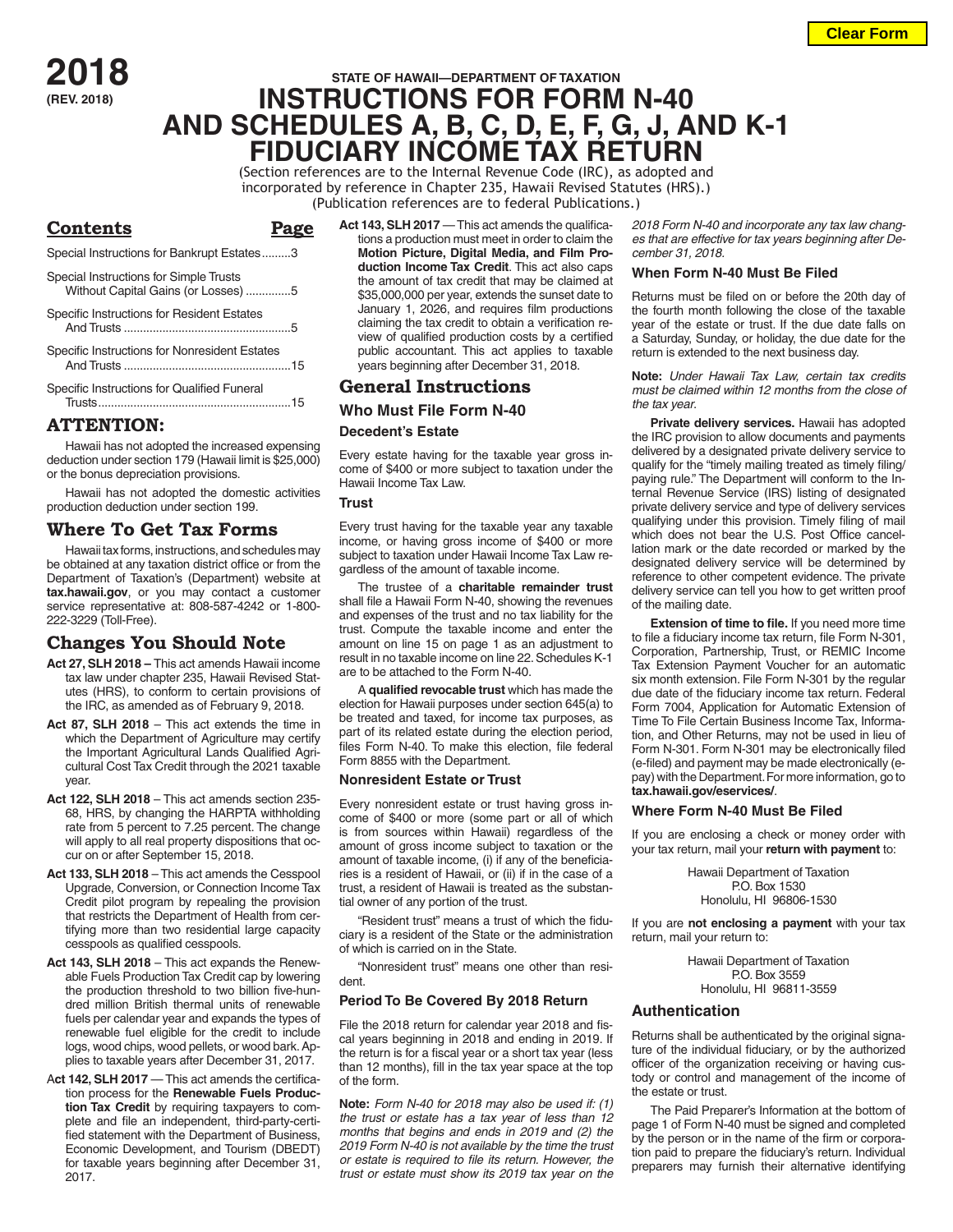**2018 (REV. 2018)**

## **STATE OF HAWAII—DEPARTMENT OF TAXATION INSTRUCTIONS FOR FORM N-40 AND SCHEDULES A, B, C, D, E, F, G, J, AND K-1 FIDUCIARY INCOME TAX RETURN**

(Section references are to the Internal Revenue Code (IRC), as adopted and incorporated by reference in Chapter 235, Hawaii Revised Statutes (HRS).) (Publication references are to federal Publications.)

| Contents                                                                      |  |
|-------------------------------------------------------------------------------|--|
| Special Instructions for Bankrupt Estates3                                    |  |
| Special Instructions for Simple Trusts<br>Without Capital Gains (or Losses) 5 |  |
| Specific Instructions for Resident Estates                                    |  |
| Specific Instructions for Nonresident Estates                                 |  |
| Specific Instructions for Qualified Funeral                                   |  |

## **ATTENTION:**

Hawaii has not adopted the increased expensing deduction under section 179 (Hawaii limit is \$25,000) or the bonus depreciation provisions.

Hawaii has not adopted the domestic activities production deduction under section 199.

## **Where To Get Tax Forms**

Hawaii tax forms, instructions, and schedules may be obtained at any taxation district office or from the Department of Taxation's (Department) website at **tax.hawaii.gov**, or you may contact a customer service representative at: 808-587-4242 or 1-800- 222-3229 (Toll-Free).

## **Changes You Should Note**

- **Act 27, SLH 2018** This act amends Hawaii income tax law under chapter 235, Hawaii Revised Statutes (HRS), to conform to certain provisions of the IRC, as amended as of February 9, 2018.
- **Act 87, SLH 2018**  This act extends the time in which the Department of Agriculture may certify the Important Agricultural Lands Qualified Agricultural Cost Tax Credit through the 2021 taxable year.
- **Act 122, SLH 2018** This act amends section 235- 68, HRS, by changing the HARPTA withholding rate from 5 percent to 7.25 percent. The change will apply to all real property dispositions that occur on or after September 15, 2018.
- **Act 133, SLH 2018** This act amends the Cesspool Upgrade, Conversion, or Connection Income Tax Credit pilot program by repealing the provision that restricts the Department of Health from certifying more than two residential large capacity cesspools as qualified cesspools.
- **Act 143, SLH 2018** This act expands the Renewable Fuels Production Tax Credit cap by lowering the production threshold to two billion five-hundred million British thermal units of renewable fuels per calendar year and expands the types of renewable fuel eligible for the credit to include logs, wood chips, wood pellets, or wood bark. Applies to taxable years after December 31, 2017.
- Act 142, SLH 2017 This act amends the certification process for the **Renewable Fuels Production Tax Credit** by requiring taxpayers to complete and file an independent, third-party-certified statement with the Department of Business, Economic Development, and Tourism (DBEDT) for taxable years beginning after December 31, 2017.

Act 143, SLH 2017 — This act amends the qualifications a production must meet in order to claim the **Motion Picture, Digital Media, and Film Production Income Tax Credit**. This act also caps the amount of tax credit that may be claimed at \$35,000,000 per year, extends the sunset date to January 1, 2026, and requires film productions claiming the tax credit to obtain a verification review of qualified production costs by a certified public accountant. This act applies to taxable years beginning after December 31, 2018.

## **General Instructions**

## **Who Must File Form N-40 Decedent's Estate**

Every estate having for the taxable year gross income of \$400 or more subject to taxation under the Hawaii Income Tax Law.

**Trust**

Every trust having for the taxable year any taxable income, or having gross income of \$400 or more subject to taxation under Hawaii Income Tax Law regardless of the amount of taxable income.

The trustee of a **charitable remainder trust** shall file a Hawaii Form N-40, showing the revenues and expenses of the trust and no tax liability for the trust. Compute the taxable income and enter the amount on line 15 on page 1 as an adjustment to result in no taxable income on line 22. Schedules K-1 are to be attached to the Form N-40.

A **qualified revocable trust** which has made the election for Hawaii purposes under section 645(a) to be treated and taxed, for income tax purposes, as part of its related estate during the election period, files Form N-40. To make this election, file federal Form 8855 with the Department.

#### **Nonresident Estate or Trust**

Every nonresident estate or trust having gross income of \$400 or more (some part or all of which is from sources within Hawaii) regardless of the amount of gross income subject to taxation or the amount of taxable income, (i) if any of the beneficiaries is a resident of Hawaii, or (ii) if in the case of a trust, a resident of Hawaii is treated as the substantial owner of any portion of the trust.

"Resident trust" means a trust of which the fiduciary is a resident of the State or the administration of which is carried on in the State.

"Nonresident trust" means one other than resident.

#### **Period To Be Covered By 2018 Return**

File the 2018 return for calendar year 2018 and fiscal years beginning in 2018 and ending in 2019. If the return is for a fiscal year or a short tax year (less than 12 months), fill in the tax year space at the top of the form.

**Note:** *Form N-40 for 2018 may also be used if: (1) the trust or estate has a tax year of less than 12 months that begins and ends in 2019 and (2) the 2019 Form N-40 is not available by the time the trust or estate is required to file its return. However, the trust or estate must show its 2019 tax year on the* 

*2018 Form N-40 and incorporate any tax law changes that are effective for tax years beginning after December 31, 2018.*

#### **When Form N-40 Must Be Filed**

Returns must be filed on or before the 20th day of the fourth month following the close of the taxable year of the estate or trust. If the due date falls on a Saturday, Sunday, or holiday, the due date for the return is extended to the next business day.

**Note:** *Under Hawaii Tax Law, certain tax credits must be claimed within 12 months from the close of the tax year*.

**Private delivery services.** Hawaii has adopted the IRC provision to allow documents and payments delivered by a designated private delivery service to qualify for the "timely mailing treated as timely filing/ paying rule." The Department will conform to the Internal Revenue Service (IRS) listing of designated private delivery service and type of delivery services qualifying under this provision. Timely filing of mail which does not bear the U.S. Post Office cancellation mark or the date recorded or marked by the designated delivery service will be determined by reference to other competent evidence. The private delivery service can tell you how to get written proof of the mailing date.

**Extension of time to file.** If you need more time to file a fiduciary income tax return, file Form N-301, Corporation, Partnership, Trust, or REMIC Income Tax Extension Payment Voucher for an automatic six month extension. File Form N-301 by the regular due date of the fiduciary income tax return. Federal Form 7004, Application for Automatic Extension of Time To File Certain Business Income Tax, Information, and Other Returns, may not be used in lieu of Form N-301. Form N-301 may be electronically filed (e-filed) and payment may be made electronically (epay) with the Department. For more information, go to **tax.hawaii.gov/eservices/**.

#### **Where Form N-40 Must Be Filed**

If you are enclosing a check or money order with your tax return, mail your **return with payment** to:

> Hawaii Department of Taxation P.O. Box 1530 Honolulu, HI 96806-1530

If you are **not enclosing a payment** with your tax return, mail your return to:

> Hawaii Department of Taxation P.O. Box 3559 Honolulu, HI 96811-3559

### **Authentication**

Returns shall be authenticated by the original signature of the individual fiduciary, or by the authorized officer of the organization receiving or having custody or control and management of the income of the estate or trust.

The Paid Preparer's Information at the bottom of page 1 of Form N-40 must be signed and completed by the person or in the name of the firm or corporation paid to prepare the fiduciary's return. Individual preparers may furnish their alternative identifying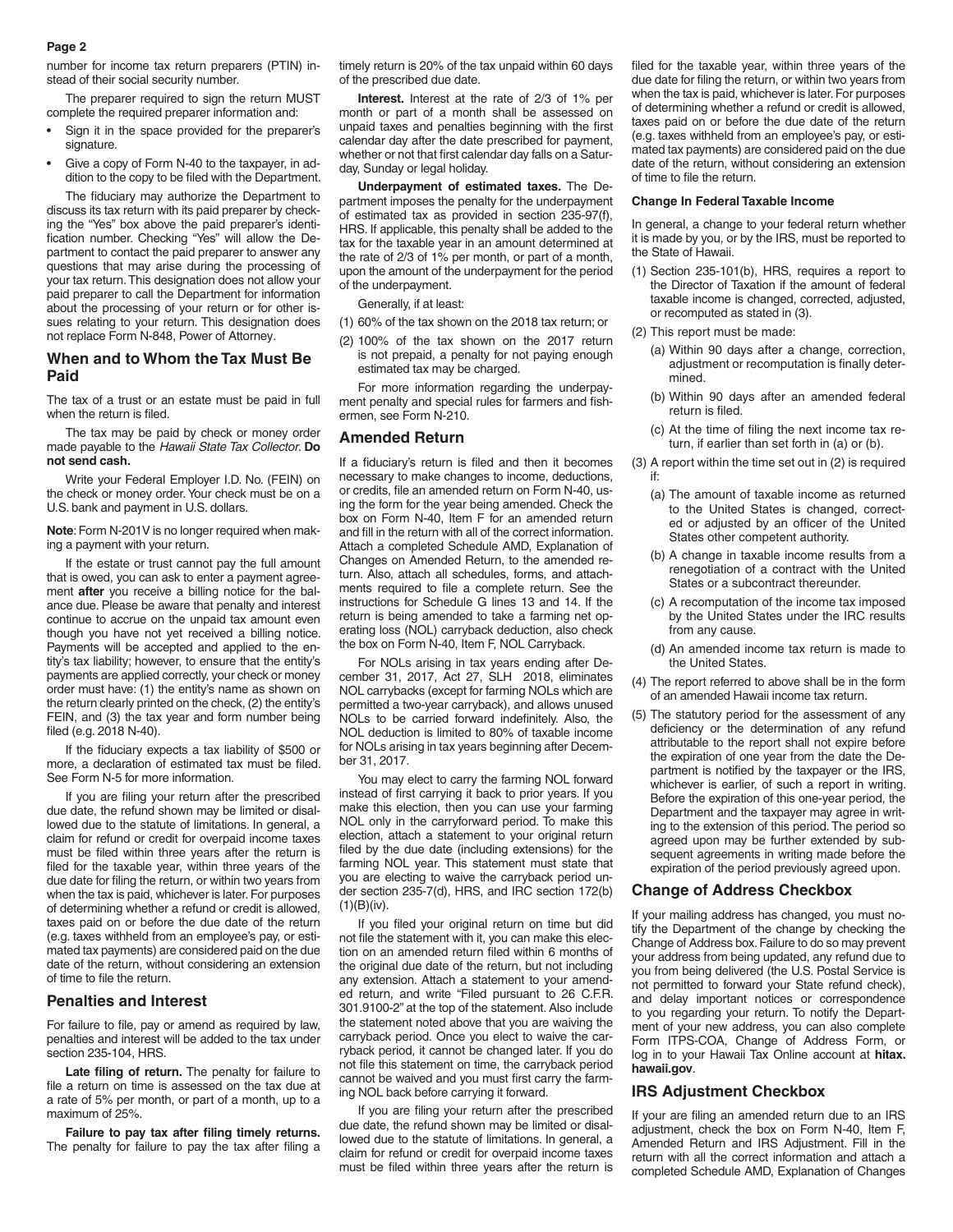number for income tax return preparers (PTIN) instead of their social security number.

The preparer required to sign the return MUST complete the required preparer information and:

- Sign it in the space provided for the preparer's signature.
- Give a copy of Form N-40 to the taxpayer, in addition to the copy to be filed with the Department.

The fiduciary may authorize the Department to discuss its tax return with its paid preparer by checking the "Yes" box above the paid preparer's identification number. Checking "Yes" will allow the Department to contact the paid preparer to answer any questions that may arise during the processing of your tax return. This designation does not allow your paid preparer to call the Department for information about the processing of your return or for other issues relating to your return. This designation does not replace Form N-848, Power of Attorney*.*

#### **When and to Whom the Tax Must Be Paid**

The tax of a trust or an estate must be paid in full when the return is filed.

The tax may be paid by check or money order made payable to the *Hawaii State Tax Collector*. **Do not send cash.**

Write your Federal Employer I.D. No. (FEIN) on the check or money order. Your check must be on a U.S. bank and payment in U.S. dollars.

**Note**: Form N-201V is no longer required when making a payment with your return.

If the estate or trust cannot pay the full amount that is owed, you can ask to enter a payment agreement **after** you receive a billing notice for the balance due. Please be aware that penalty and interest continue to accrue on the unpaid tax amount even though you have not yet received a billing notice. Payments will be accepted and applied to the entity's tax liability; however, to ensure that the entity's payments are applied correctly, your check or money order must have: (1) the entity's name as shown on the return clearly printed on the check, (2) the entity's FEIN, and (3) the tax year and form number being filed (e.g. 2018 N-40).

If the fiduciary expects a tax liability of \$500 or more, a declaration of estimated tax must be filed. See Form N-5 for more information.

If you are filing your return after the prescribed due date, the refund shown may be limited or disallowed due to the statute of limitations. In general, a claim for refund or credit for overpaid income taxes must be filed within three years after the return is filed for the taxable year, within three years of the due date for filing the return, or within two years from when the tax is paid, whichever is later. For purposes of determining whether a refund or credit is allowed, taxes paid on or before the due date of the return (e.g. taxes withheld from an employee's pay, or estimated tax payments) are considered paid on the due date of the return, without considering an extension of time to file the return.

#### **Penalties and Interest**

For failure to file, pay or amend as required by law, penalties and interest will be added to the tax under section 235-104, HRS.

Late filing of return. The penalty for failure to file a return on time is assessed on the tax due at a rate of 5% per month, or part of a month, up to a maximum of 25%.

**Failure to pay tax after filing timely returns.** The penalty for failure to pay the tax after filing a timely return is 20% of the tax unpaid within 60 days of the prescribed due date.

**Interest.** Interest at the rate of 2/3 of 1% per month or part of a month shall be assessed on unpaid taxes and penalties beginning with the first calendar day after the date prescribed for payment, whether or not that first calendar day falls on a Saturday, Sunday or legal holiday.

**Underpayment of estimated taxes.** The Department imposes the penalty for the underpayment of estimated tax as provided in section 235-97(f), HRS. If applicable, this penalty shall be added to the tax for the taxable year in an amount determined at the rate of 2/3 of 1% per month, or part of a month, upon the amount of the underpayment for the period of the underpayment.

Generally, if at least:

- (1) 60% of the tax shown on the 2018 tax return; or
- (2) 100% of the tax shown on the 2017 return is not prepaid, a penalty for not paying enough estimated tax may be charged.

For more information regarding the underpayment penalty and special rules for farmers and fishermen, see Form N-210.

#### **Amended Return**

If a fiduciary's return is filed and then it becomes necessary to make changes to income, deductions, or credits, file an amended return on Form N-40, using the form for the year being amended. Check the box on Form N-40, Item F for an amended return and fill in the return with all of the correct information. Attach a completed Schedule AMD, Explanation of Changes on Amended Return, to the amended return. Also, attach all schedules, forms, and attachments required to file a complete return. See the instructions for Schedule G lines 13 and 14. If the return is being amended to take a farming net operating loss (NOL) carryback deduction, also check the box on Form N-40, Item F, NOL Carryback.

For NOLs arising in tax years ending after December 31, 2017, Act 27, SLH 2018, eliminates NOL carrybacks (except for farming NOLs which are permitted a two-year carryback), and allows unused NOLs to be carried forward indefinitely. Also, the NOL deduction is limited to 80% of taxable income for NOLs arising in tax years beginning after December 31, 2017.

You may elect to carry the farming NOL forward instead of first carrying it back to prior years. If you make this election, then you can use your farming NOL only in the carryforward period. To make this election, attach a statement to your original return filed by the due date (including extensions) for the farming NOL year. This statement must state that you are electing to waive the carryback period under section 235-7(d), HRS, and IRC section 172(b) (1)(B)(iv).

If you filed your original return on time but did not file the statement with it, you can make this election on an amended return filed within 6 months of the original due date of the return, but not including any extension. Attach a statement to your amended return, and write "Filed pursuant to 26 C.F.R. 301.9100-2" at the top of the statement. Also include the statement noted above that you are waiving the carryback period. Once you elect to waive the carryback period, it cannot be changed later. If you do not file this statement on time, the carryback period cannot be waived and you must first carry the farming NOL back before carrying it forward.

If you are filing your return after the prescribed due date, the refund shown may be limited or disallowed due to the statute of limitations. In general, a claim for refund or credit for overpaid income taxes must be filed within three years after the return is

filed for the taxable year, within three years of the due date for filing the return, or within two years from when the tax is paid, whichever is later. For purposes of determining whether a refund or credit is allowed, taxes paid on or before the due date of the return (e.g. taxes withheld from an employee's pay, or estimated tax payments) are considered paid on the due date of the return, without considering an extension of time to file the return.

#### **Change In Federal Taxable Income**

In general, a change to your federal return whether it is made by you, or by the IRS, must be reported to the State of Hawaii.

- (1) Section 235-101(b), HRS, requires a report to the Director of Taxation if the amount of federal taxable income is changed, corrected, adjusted, or recomputed as stated in (3).
- (2) This report must be made:
	- (a) Within 90 days after a change, correction, adjustment or recomputation is finally determined.
	- (b) Within 90 days after an amended federal return is filed.
	- (c) At the time of filing the next income tax return, if earlier than set forth in (a) or (b).

(3) A report within the time set out in (2) is required if:

- (a) The amount of taxable income as returned to the United States is changed, corrected or adjusted by an officer of the United States other competent authority.
- (b) A change in taxable income results from a renegotiation of a contract with the United States or a subcontract thereunder.
- (c) A recomputation of the income tax imposed by the United States under the IRC results from any cause.
- (d) An amended income tax return is made to the United States.
- (4) The report referred to above shall be in the form of an amended Hawaii income tax return.
- (5) The statutory period for the assessment of any deficiency or the determination of any refund attributable to the report shall not expire before the expiration of one year from the date the Department is notified by the taxpayer or the IRS, whichever is earlier, of such a report in writing. Before the expiration of this one-year period, the Department and the taxpayer may agree in writing to the extension of this period. The period so agreed upon may be further extended by subsequent agreements in writing made before the expiration of the period previously agreed upon.

#### **Change of Address Checkbox**

If your mailing address has changed, you must notify the Department of the change by checking the Change of Address box. Failure to do so may prevent your address from being updated, any refund due to you from being delivered (the U.S. Postal Service is not permitted to forward your State refund check), and delay important notices or correspondence to you regarding your return. To notify the Department of your new address, you can also complete Form ITPS-COA, Change of Address Form, or log in to your Hawaii Tax Online account at **hitax. hawaii.gov**.

#### **IRS Adjustment Checkbox**

If your are filing an amended return due to an IRS adjustment, check the box on Form N-40, Item F, Amended Return and IRS Adjustment. Fill in the return with all the correct information and attach a completed Schedule AMD, Explanation of Changes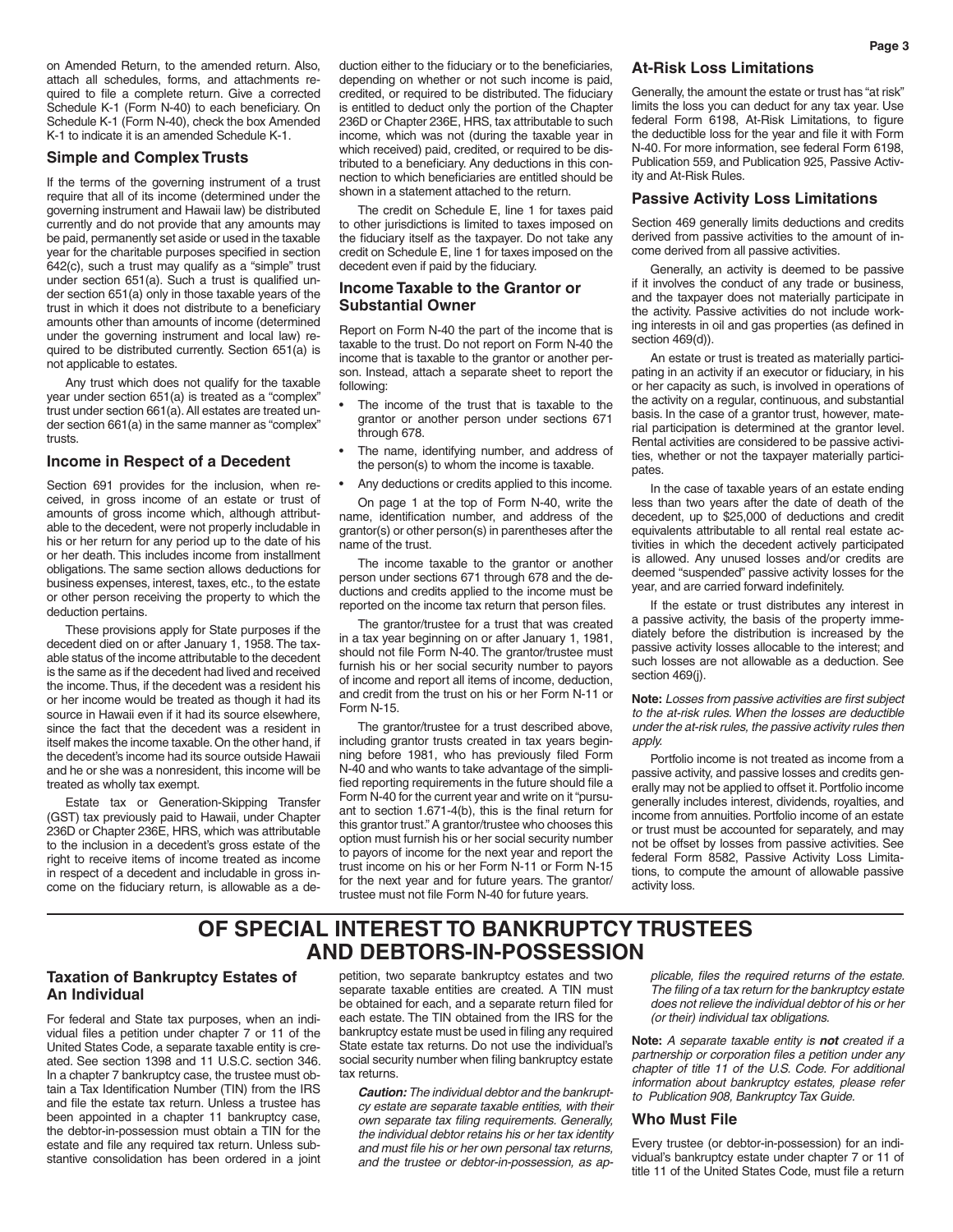on Amended Return, to the amended return. Also, attach all schedules, forms, and attachments required to file a complete return. Give a corrected Schedule K-1 (Form N-40) to each beneficiary. On Schedule K-1 (Form N-40), check the box Amended K-1 to indicate it is an amended Schedule K-1.

#### **Simple and Complex Trusts**

If the terms of the governing instrument of a trust require that all of its income (determined under the governing instrument and Hawaii law) be distributed currently and do not provide that any amounts may be paid, permanently set aside or used in the taxable year for the charitable purposes specified in section 642(c), such a trust may qualify as a "simple" trust under section 651(a). Such a trust is qualified under section 651(a) only in those taxable years of the trust in which it does not distribute to a beneficiary amounts other than amounts of income (determined under the governing instrument and local law) required to be distributed currently. Section 651(a) is not applicable to estates.

Any trust which does not qualify for the taxable year under section 651(a) is treated as a "complex" trust under section 661(a). All estates are treated under section 661(a) in the same manner as "complex" trusts.

#### **Income in Respect of a Decedent**

Section 691 provides for the inclusion, when received, in gross income of an estate or trust of amounts of gross income which, although attributable to the decedent, were not properly includable in his or her return for any period up to the date of his or her death. This includes income from installment obligations. The same section allows deductions for business expenses, interest, taxes, etc., to the estate or other person receiving the property to which the deduction pertains.

These provisions apply for State purposes if the decedent died on or after January 1, 1958. The taxable status of the income attributable to the decedent is the same as if the decedent had lived and received the income. Thus, if the decedent was a resident his or her income would be treated as though it had its source in Hawaii even if it had its source elsewhere, since the fact that the decedent was a resident in itself makes the income taxable. On the other hand, if the decedent's income had its source outside Hawaii and he or she was a nonresident, this income will be treated as wholly tax exempt.

Estate tax or Generation-Skipping Transfer (GST) tax previously paid to Hawaii, under Chapter 236D or Chapter 236E, HRS, which was attributable to the inclusion in a decedent's gross estate of the right to receive items of income treated as income in respect of a decedent and includable in gross income on the fiduciary return, is allowable as a deduction either to the fiduciary or to the beneficiaries, depending on whether or not such income is paid, credited, or required to be distributed. The fiduciary is entitled to deduct only the portion of the Chapter 236D or Chapter 236E, HRS, tax attributable to such income, which was not (during the taxable year in which received) paid, credited, or required to be distributed to a beneficiary. Any deductions in this connection to which beneficiaries are entitled should be shown in a statement attached to the return.

The credit on Schedule E, line 1 for taxes paid to other jurisdictions is limited to taxes imposed on the fiduciary itself as the taxpayer. Do not take any credit on Schedule E, line 1 for taxes imposed on the decedent even if paid by the fiduciary.

#### **Income Taxable to the Grantor or Substantial Owner**

Report on Form N-40 the part of the income that is taxable to the trust. Do not report on Form N-40 the income that is taxable to the grantor or another person. Instead, attach a separate sheet to report the following:

- The income of the trust that is taxable to the grantor or another person under sections 671 through 678.
- The name, identifying number, and address of the person(s) to whom the income is taxable.
- Any deductions or credits applied to this income.

On page 1 at the top of Form N-40, write the name, identification number, and address of the grantor(s) or other person(s) in parentheses after the name of the trust.

The income taxable to the grantor or another person under sections 671 through 678 and the deductions and credits applied to the income must be reported on the income tax return that person files.

The grantor/trustee for a trust that was created in a tax year beginning on or after January 1, 1981, should not file Form N-40. The grantor/trustee must furnish his or her social security number to payors of income and report all items of income, deduction, and credit from the trust on his or her Form N-11 or Form N-15.

The grantor/trustee for a trust described above, including grantor trusts created in tax years beginning before 1981, who has previously filed Form N-40 and who wants to take advantage of the simplified reporting requirements in the future should file a Form N-40 for the current year and write on it "pursuant to section 1.671-4(b), this is the final return for this grantor trust." A grantor/trustee who chooses this option must furnish his or her social security number to payors of income for the next year and report the trust income on his or her Form N-11 or Form N-15 for the next year and for future years. The grantor/ trustee must not file Form N-40 for future years.

#### **At-Risk Loss Limitations**

Generally, the amount the estate or trust has "at risk" limits the loss you can deduct for any tax year. Use federal Form 6198, At-Risk Limitations, to figure the deductible loss for the year and file it with Form N-40. For more information, see federal Form 6198, Publication 559, and Publication 925, Passive Activity and At-Risk Rules.

#### **Passive Activity Loss Limitations**

Section 469 generally limits deductions and credits derived from passive activities to the amount of income derived from all passive activities.

Generally, an activity is deemed to be passive if it involves the conduct of any trade or business, and the taxpayer does not materially participate in the activity. Passive activities do not include working interests in oil and gas properties (as defined in section 469(d)).

An estate or trust is treated as materially participating in an activity if an executor or fiduciary, in his or her capacity as such, is involved in operations of the activity on a regular, continuous, and substantial basis. In the case of a grantor trust, however, material participation is determined at the grantor level. Rental activities are considered to be passive activities, whether or not the taxpayer materially participates.

In the case of taxable years of an estate ending less than two years after the date of death of the decedent, up to \$25,000 of deductions and credit equivalents attributable to all rental real estate activities in which the decedent actively participated is allowed. Any unused losses and/or credits are deemed "suspended" passive activity losses for the year, and are carried forward indefinitely.

If the estate or trust distributes any interest in a passive activity, the basis of the property immediately before the distribution is increased by the passive activity losses allocable to the interest; and such losses are not allowable as a deduction. See section 469(j).

**Note:** *Losses from passive activities are first subject to the at-risk rules. When the losses are deductible under the at-risk rules, the passive activity rules then apply.*

Portfolio income is not treated as income from a passive activity, and passive losses and credits generally may not be applied to offset it. Portfolio income generally includes interest, dividends, royalties, and income from annuities. Portfolio income of an estate or trust must be accounted for separately, and may not be offset by losses from passive activities. See federal Form 8582, Passive Activity Loss Limitations, to compute the amount of allowable passive activity loss.

## **OF SPECIAL INTEREST TO BANKRUPTCY TRUSTEES AND DEBTORS-IN-POSSESSION**

## **Taxation of Bankruptcy Estates of An Individual**

For federal and State tax purposes, when an individual files a petition under chapter 7 or 11 of the United States Code, a separate taxable entity is created. See section 1398 and 11 U.S.C. section 346. In a chapter 7 bankruptcy case, the trustee must obtain a Tax Identification Number (TIN) from the IRS and file the estate tax return. Unless a trustee has been appointed in a chapter 11 bankruptcy case, the debtor-in-possession must obtain a TIN for the estate and file any required tax return. Unless substantive consolidation has been ordered in a joint

petition, two separate bankruptcy estates and two separate taxable entities are created. A TIN must be obtained for each, and a separate return filed for each estate. The TIN obtained from the IRS for the bankruptcy estate must be used in filing any required State estate tax returns. Do not use the individual's social security number when filing bankruptcy estate tax returns.

*Caution: The individual debtor and the bankruptcy estate are separate taxable entities, with their own separate tax filing requirements. Generally, the individual debtor retains his or her tax identity and must file his or her own personal tax returns, and the trustee or debtor-in-possession, as ap-* *plicable, files the required returns of the estate. The filing of a tax return for the bankruptcy estate does not relieve the individual debtor of his or her (or their) individual tax obligations.*

**Note:** *A separate taxable entity is not created if a partnership or corporation files a petition under any chapter of title 11 of the U.S. Code. For additional information about bankruptcy estates, please refer to Publication 908, Bankruptcy Tax Guide.*

#### **Who Must File**

Every trustee (or debtor-in-possession) for an individual's bankruptcy estate under chapter 7 or 11 of title 11 of the United States Code, must file a return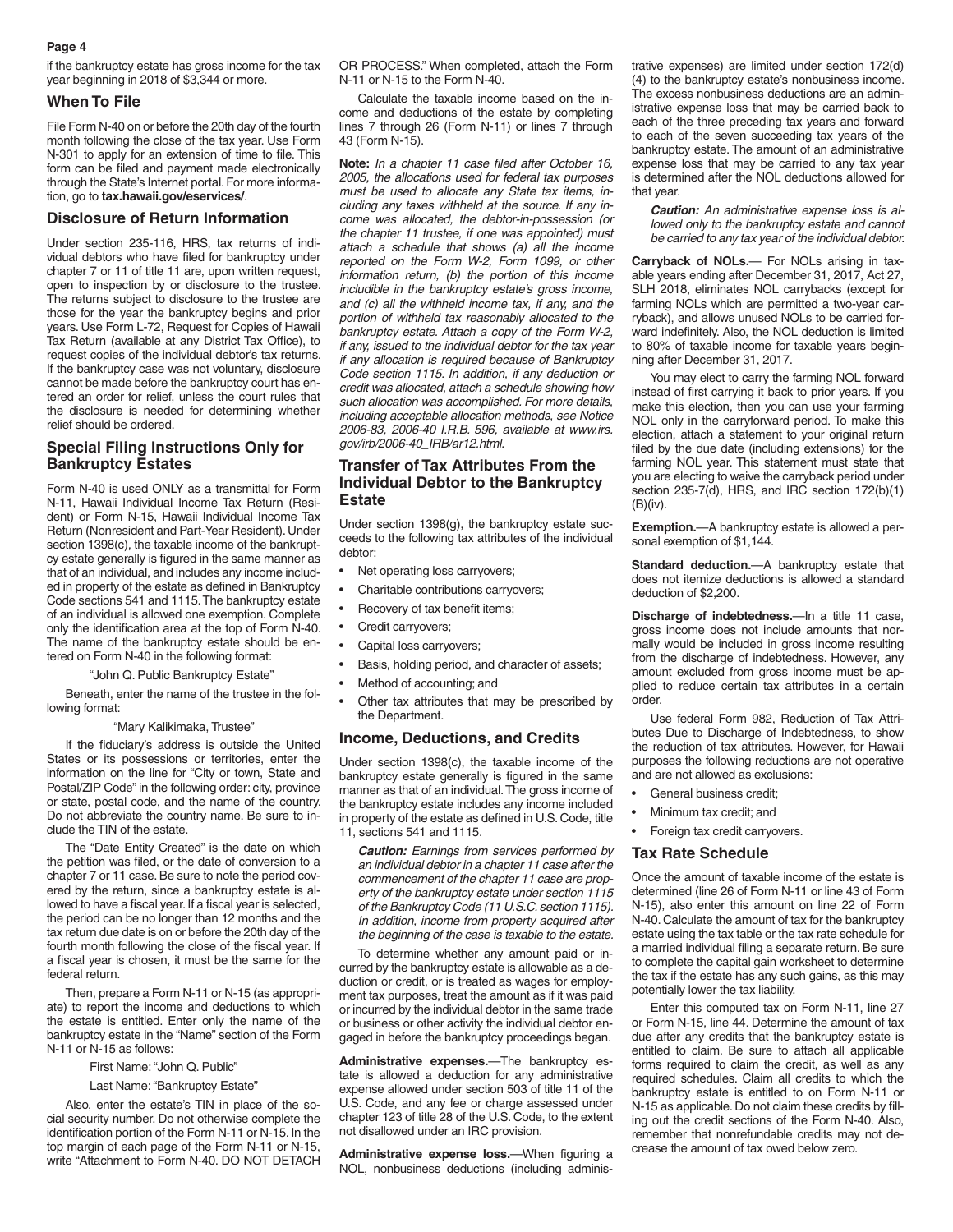if the bankruptcy estate has gross income for the tax year beginning in 2018 of \$3,344 or more.

#### **When To File**

File Form N-40 on or before the 20th day of the fourth month following the close of the tax year. Use Form N-301 to apply for an extension of time to file. This form can be filed and payment made electronically through the State's Internet portal. For more information, go to **tax.hawaii.gov/eservices/**.

#### **Disclosure of Return Information**

Under section 235-116, HRS, tax returns of individual debtors who have filed for bankruptcy under chapter 7 or 11 of title 11 are, upon written request, open to inspection by or disclosure to the trustee. The returns subject to disclosure to the trustee are those for the year the bankruptcy begins and prior years. Use Form L-72, Request for Copies of Hawaii Tax Return (available at any District Tax Office), to request copies of the individual debtor's tax returns. If the bankruptcy case was not voluntary, disclosure cannot be made before the bankruptcy court has entered an order for relief, unless the court rules that the disclosure is needed for determining whether relief should be ordered.

### **Special Filing Instructions Only for Bankruptcy Estates**

Form N-40 is used ONLY as a transmittal for Form N-11, Hawaii Individual Income Tax Return (Resident) or Form N-15, Hawaii Individual Income Tax Return (Nonresident and Part-Year Resident). Under section 1398(c), the taxable income of the bankruptcy estate generally is figured in the same manner as that of an individual, and includes any income included in property of the estate as defined in Bankruptcy Code sections 541 and 1115. The bankruptcy estate of an individual is allowed one exemption. Complete only the identification area at the top of Form N-40. The name of the bankruptcy estate should be entered on Form N-40 in the following format:

#### "John Q. Public Bankruptcy Estate"

Beneath, enter the name of the trustee in the following format:

#### "Mary Kalikimaka, Trustee"

If the fiduciary's address is outside the United States or its possessions or territories, enter the information on the line for "City or town, State and Postal/ZIP Code" in the following order: city, province or state, postal code, and the name of the country. Do not abbreviate the country name. Be sure to include the TIN of the estate.

The "Date Entity Created" is the date on which the petition was filed, or the date of conversion to a chapter 7 or 11 case. Be sure to note the period covered by the return, since a bankruptcy estate is allowed to have a fiscal year. If a fiscal year is selected, the period can be no longer than 12 months and the tax return due date is on or before the 20th day of the fourth month following the close of the fiscal year. If a fiscal year is chosen, it must be the same for the federal return.

Then, prepare a Form N-11 or N-15 (as appropriate) to report the income and deductions to which the estate is entitled. Enter only the name of the bankruptcy estate in the "Name" section of the Form N-11 or N-15 as follows:

First Name: "John Q. Public"

#### Last Name: "Bankruptcy Estate"

Also, enter the estate's TIN in place of the social security number. Do not otherwise complete the identification portion of the Form N-11 or N-15. In the top margin of each page of the Form N-11 or N-15, write "Attachment to Form N-40. DO NOT DETACH OR PROCESS." When completed, attach the Form N-11 or N-15 to the Form N-40.

Calculate the taxable income based on the income and deductions of the estate by completing lines 7 through 26 (Form N-11) or lines 7 through 43 (Form N-15).

**Note:** *In a chapter 11 case filed after October 16, 2005, the allocations used for federal tax purposes must be used to allocate any State tax items, including any taxes withheld at the source. If any income was allocated, the debtor-in-possession (or the chapter 11 trustee, if one was appointed) must attach a schedule that shows (a) all the income reported on the Form W-2, Form 1099, or other information return, (b) the portion of this income includible in the bankruptcy estate's gross income, and (c) all the withheld income tax, if any, and the portion of withheld tax reasonably allocated to the bankruptcy estate. Attach a copy of the Form W-2, if any, issued to the individual debtor for the tax year if any allocation is required because of Bankruptcy Code section 1115. In addition, if any deduction or credit was allocated, attach a schedule showing how such allocation was accomplished. For more details, including acceptable allocation methods, see Notice 2006-83, 2006-40 I.R.B. 596, available at www.irs. gov/irb/2006-40\_IRB/ar12.html.*

### **Transfer of Tax Attributes From the Individual Debtor to the Bankruptcy Estate**

Under section 1398(g), the bankruptcy estate succeeds to the following tax attributes of the individual debtor:

- Net operating loss carryovers;
- Charitable contributions carryovers;
- Recovery of tax benefit items;
- Credit carryovers;
- Capital loss carryovers:
- Basis, holding period, and character of assets;
- Method of accounting; and
- Other tax attributes that may be prescribed by the Department.

#### **Income, Deductions, and Credits**

Under section 1398(c), the taxable income of the bankruptcy estate generally is figured in the same manner as that of an individual. The gross income of the bankruptcy estate includes any income included in property of the estate as defined in U.S. Code, title 11, sections 541 and 1115.

*Caution: Earnings from services performed by an individual debtor in a chapter 11 case after the commencement of the chapter 11 case are property of the bankruptcy estate under section 1115 of the Bankruptcy Code (11 U.S.C. section 1115). In addition, income from property acquired after the beginning of the case is taxable to the estate.*

To determine whether any amount paid or incurred by the bankruptcy estate is allowable as a deduction or credit, or is treated as wages for employment tax purposes, treat the amount as if it was paid or incurred by the individual debtor in the same trade or business or other activity the individual debtor engaged in before the bankruptcy proceedings began.

**Administrative expenses.**—The bankruptcy estate is allowed a deduction for any administrative expense allowed under section 503 of title 11 of the U.S. Code, and any fee or charge assessed under chapter 123 of title 28 of the U.S. Code, to the extent not disallowed under an IRC provision.

**Administrative expense loss.**—When figuring a NOL, nonbusiness deductions (including administrative expenses) are limited under section 172(d) (4) to the bankruptcy estate's nonbusiness income. The excess nonbusiness deductions are an administrative expense loss that may be carried back to each of the three preceding tax years and forward to each of the seven succeeding tax years of the bankruptcy estate. The amount of an administrative expense loss that may be carried to any tax year is determined after the NOL deductions allowed for that year.

*Caution: An administrative expense loss is allowed only to the bankruptcy estate and cannot be carried to any tax year of the individual debtor.*

**Carryback of NOLs.**— For NOLs arising in taxable years ending after December 31, 2017, Act 27, SLH 2018, eliminates NOL carrybacks (except for farming NOLs which are permitted a two-year carryback), and allows unused NOLs to be carried forward indefinitely. Also, the NOL deduction is limited to 80% of taxable income for taxable years beginning after December 31, 2017.

You may elect to carry the farming NOL forward instead of first carrying it back to prior years. If you make this election, then you can use your farming NOL only in the carryforward period. To make this election, attach a statement to your original return filed by the due date (including extensions) for the farming NOL year. This statement must state that you are electing to waive the carryback period under section 235-7(d), HRS, and IRC section 172(b)(1) (B)(iv).

**Exemption.**—A bankruptcy estate is allowed a personal exemption of \$1,144.

**Standard deduction.**—A bankruptcy estate that does not itemize deductions is allowed a standard deduction of \$2,200.

**Discharge of indebtedness.**—In a title 11 case, gross income does not include amounts that normally would be included in gross income resulting from the discharge of indebtedness. However, any amount excluded from gross income must be applied to reduce certain tax attributes in a certain order.

Use federal Form 982, Reduction of Tax Attributes Due to Discharge of Indebtedness, to show the reduction of tax attributes. However, for Hawaii purposes the following reductions are not operative and are not allowed as exclusions:

- General business credit:
- Minimum tax credit; and
- Foreign tax credit carryovers.

#### **Tax Rate Schedule**

Once the amount of taxable income of the estate is determined (line 26 of Form N-11 or line 43 of Form N-15), also enter this amount on line 22 of Form N-40. Calculate the amount of tax for the bankruptcy estate using the tax table or the tax rate schedule for a married individual filing a separate return. Be sure to complete the capital gain worksheet to determine the tax if the estate has any such gains, as this may potentially lower the tax liability.

Enter this computed tax on Form N-11, line 27 or Form N-15, line 44. Determine the amount of tax due after any credits that the bankruptcy estate is entitled to claim. Be sure to attach all applicable forms required to claim the credit, as well as any required schedules. Claim all credits to which the bankruptcy estate is entitled to on Form N-11 or N-15 as applicable. Do not claim these credits by filling out the credit sections of the Form N-40. Also, remember that nonrefundable credits may not decrease the amount of tax owed below zero.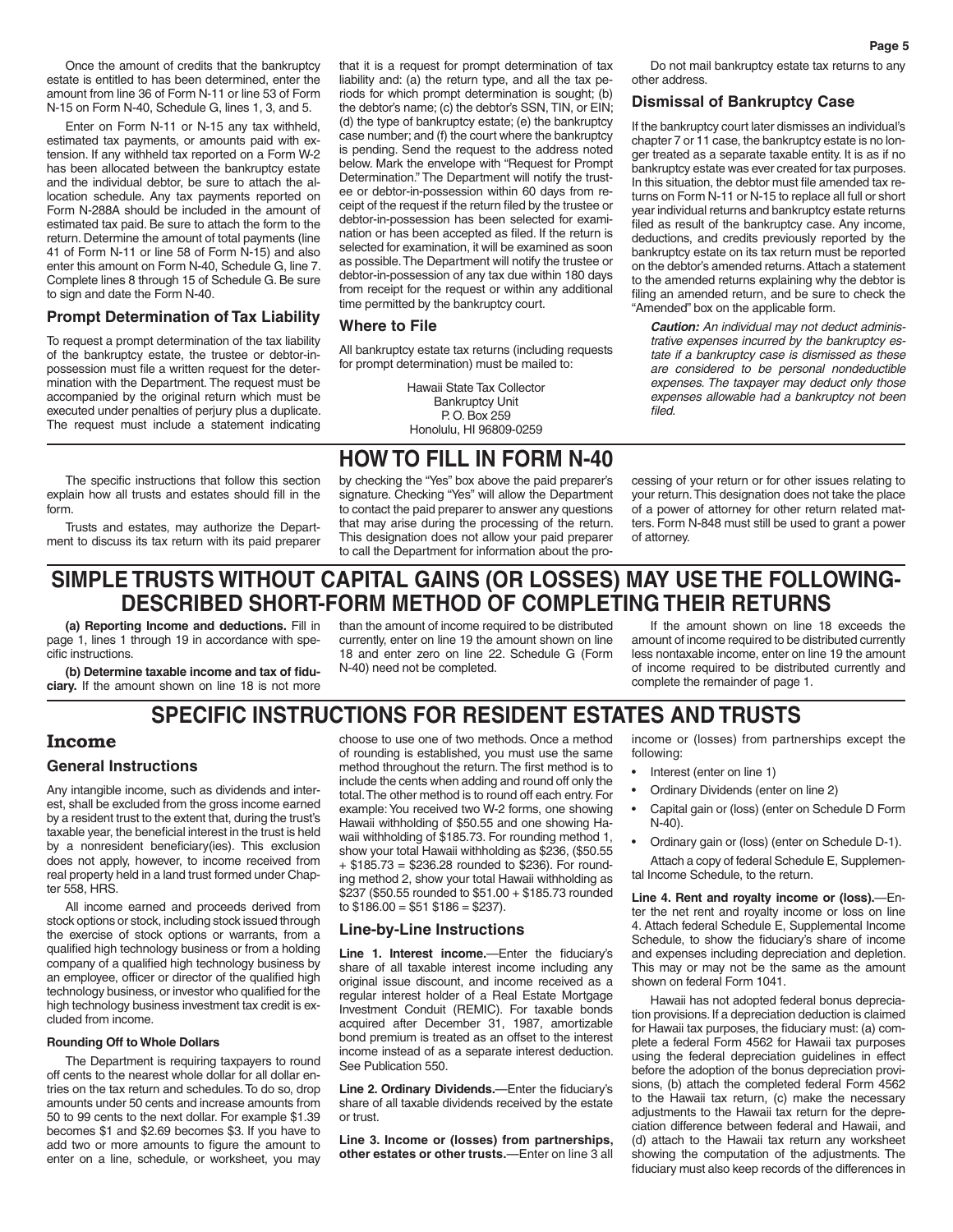Once the amount of credits that the bankruptcy estate is entitled to has been determined, enter the amount from line 36 of Form N-11 or line 53 of Form N-15 on Form N-40, Schedule G, lines 1, 3, and 5.

Enter on Form N-11 or N-15 any tax withheld, estimated tax payments, or amounts paid with extension. If any withheld tax reported on a Form W-2 has been allocated between the bankruptcy estate and the individual debtor, be sure to attach the allocation schedule. Any tax payments reported on Form N-288A should be included in the amount of estimated tax paid. Be sure to attach the form to the return. Determine the amount of total payments (line 41 of Form N-11 or line 58 of Form N-15) and also enter this amount on Form N-40, Schedule G, line 7. Complete lines 8 through 15 of Schedule G. Be sure to sign and date the Form N-40.

### **Prompt Determination of Tax Liability**

To request a prompt determination of the tax liability of the bankruptcy estate, the trustee or debtor-inpossession must file a written request for the determination with the Department. The request must be accompanied by the original return which must be executed under penalties of perjury plus a duplicate. The request must include a statement indicating that it is a request for prompt determination of tax liability and: (a) the return type, and all the tax periods for which prompt determination is sought; (b) the debtor's name; (c) the debtor's SSN, TIN, or EIN; (d) the type of bankruptcy estate; (e) the bankruptcy case number; and (f) the court where the bankruptcy is pending. Send the request to the address noted below. Mark the envelope with "Request for Prompt Determination." The Department will notify the trustee or debtor-in-possession within 60 days from receipt of the request if the return filed by the trustee or debtor-in-possession has been selected for examination or has been accepted as filed. If the return is selected for examination, it will be examined as soon as possible. The Department will notify the trustee or debtor-in-possession of any tax due within 180 days from receipt for the request or within any additional time permitted by the bankruptcy court.

#### **Where to File**

All bankruptcy estate tax returns (including requests for prompt determination) must be mailed to:

> Hawaii State Tax Collector Bankruptcy Unit P. O. Box 259 Honolulu, HI 96809-0259

## **HOW TO FILL IN FORM N-40**

The specific instructions that follow this section explain how all trusts and estates should fill in the form.

Trusts and estates, may authorize the Department to discuss its tax return with its paid preparer by checking the "Yes" box above the paid preparer's signature. Checking "Yes" will allow the Department to contact the paid preparer to answer any questions that may arise during the processing of the return. This designation does not allow your paid preparer to call the Department for information about the pro-

Do not mail bankruptcy estate tax returns to any other address.

#### **Dismissal of Bankruptcy Case**

If the bankruptcy court later dismisses an individual's chapter 7 or 11 case, the bankruptcy estate is no longer treated as a separate taxable entity. It is as if no bankruptcy estate was ever created for tax purposes. In this situation, the debtor must file amended tax returns on Form N-11 or N-15 to replace all full or short year individual returns and bankruptcy estate returns filed as result of the bankruptcy case. Any income, deductions, and credits previously reported by the bankruptcy estate on its tax return must be reported on the debtor's amended returns. Attach a statement to the amended returns explaining why the debtor is filing an amended return, and be sure to check the "Amended" box on the applicable form.

*Caution: An individual may not deduct administrative expenses incurred by the bankruptcy estate if a bankruptcy case is dismissed as these are considered to be personal nondeductible expenses. The taxpayer may deduct only those expenses allowable had a bankruptcy not been filed.*

cessing of your return or for other issues relating to your return. This designation does not take the place of a power of attorney for other return related matters. Form N-848 must still be used to grant a power

**SIMPLE TRUSTS WITHOUT CAPITAL GAINS (OR LOSSES) MAY USE THE FOLLOWING-DESCRIBED SHORT-FORM METHOD OF COMPLETING THEIR RETURNS**

**(a) Reporting Income and deductions.** Fill in page 1, lines 1 through 19 in accordance with specific instructions.

**(b) Determine taxable income and tax of fiduciary.** If the amount shown on line 18 is not more than the amount of income required to be distributed currently, enter on line 19 the amount shown on line 18 and enter zero on line 22. Schedule G (Form N-40) need not be completed.

If the amount shown on line 18 exceeds the amount of income required to be distributed currently less nontaxable income, enter on line 19 the amount of income required to be distributed currently and complete the remainder of page 1.

## **SPECIFIC INSTRUCTIONS FOR RESIDENT ESTATES AND TRUSTS**

## **Income**

## **General Instructions**

Any intangible income, such as dividends and interest, shall be excluded from the gross income earned by a resident trust to the extent that, during the trust's taxable year, the beneficial interest in the trust is held by a nonresident beneficiary(ies). This exclusion does not apply, however, to income received from real property held in a land trust formed under Chapter 558, HRS.

All income earned and proceeds derived from stock options or stock, including stock issued through the exercise of stock options or warrants, from a qualified high technology business or from a holding company of a qualified high technology business by an employee, officer or director of the qualified high technology business, or investor who qualified for the high technology business investment tax credit is excluded from income.

#### **Rounding Off to Whole Dollars**

The Department is requiring taxpayers to round off cents to the nearest whole dollar for all dollar entries on the tax return and schedules. To do so, drop amounts under 50 cents and increase amounts from 50 to 99 cents to the next dollar. For example \$1.39 becomes \$1 and \$2.69 becomes \$3. If you have to add two or more amounts to figure the amount to enter on a line, schedule, or worksheet, you may

choose to use one of two methods. Once a method of rounding is established, you must use the same method throughout the return. The first method is to include the cents when adding and round off only the total. The other method is to round off each entry. For example: You received two W-2 forms, one showing Hawaii withholding of \$50.55 and one showing Hawaii withholding of \$185.73. For rounding method 1, show your total Hawaii withholding as \$236, (\$50.55 + \$185.73 = \$236.28 rounded to \$236). For rounding method 2, show your total Hawaii withholding as \$237 (\$50.55 rounded to \$51.00 + \$185.73 rounded to  $$186.00 = $51$   $$186 = $237$ ).

#### **Line-by-Line Instructions**

**Line 1. Interest income.**—Enter the fiduciary's share of all taxable interest income including any original issue discount, and income received as a regular interest holder of a Real Estate Mortgage Investment Conduit (REMIC). For taxable bonds acquired after December 31, 1987, amortizable bond premium is treated as an offset to the interest income instead of as a separate interest deduction. See Publication 550.

**Line 2. Ordinary Dividends.**—Enter the fiduciary's share of all taxable dividends received by the estate or trust.

**Line 3. Income or (losses) from partnerships, other estates or other trusts.**—Enter on line 3 all income or (losses) from partnerships except the following:

Interest (enter on line 1)

of attorney.

- Ordinary Dividends (enter on line 2)
- Capital gain or (loss) (enter on Schedule D Form N-40).
- Ordinary gain or (loss) (enter on Schedule D-1). Attach a copy of federal Schedule E, Supplemental Income Schedule, to the return.

**Line 4. Rent and royalty income or (loss).**—Enter the net rent and royalty income or loss on line 4. Attach federal Schedule E, Supplemental Income Schedule, to show the fiduciary's share of income and expenses including depreciation and depletion. This may or may not be the same as the amount shown on federal Form 1041.

Hawaii has not adopted federal bonus depreciation provisions. If a depreciation deduction is claimed for Hawaii tax purposes, the fiduciary must: (a) complete a federal Form 4562 for Hawaii tax purposes using the federal depreciation guidelines in effect before the adoption of the bonus depreciation provisions, (b) attach the completed federal Form 4562 to the Hawaii tax return, (c) make the necessary adjustments to the Hawaii tax return for the depreciation difference between federal and Hawaii, and (d) attach to the Hawaii tax return any worksheet showing the computation of the adjustments. The fiduciary must also keep records of the differences in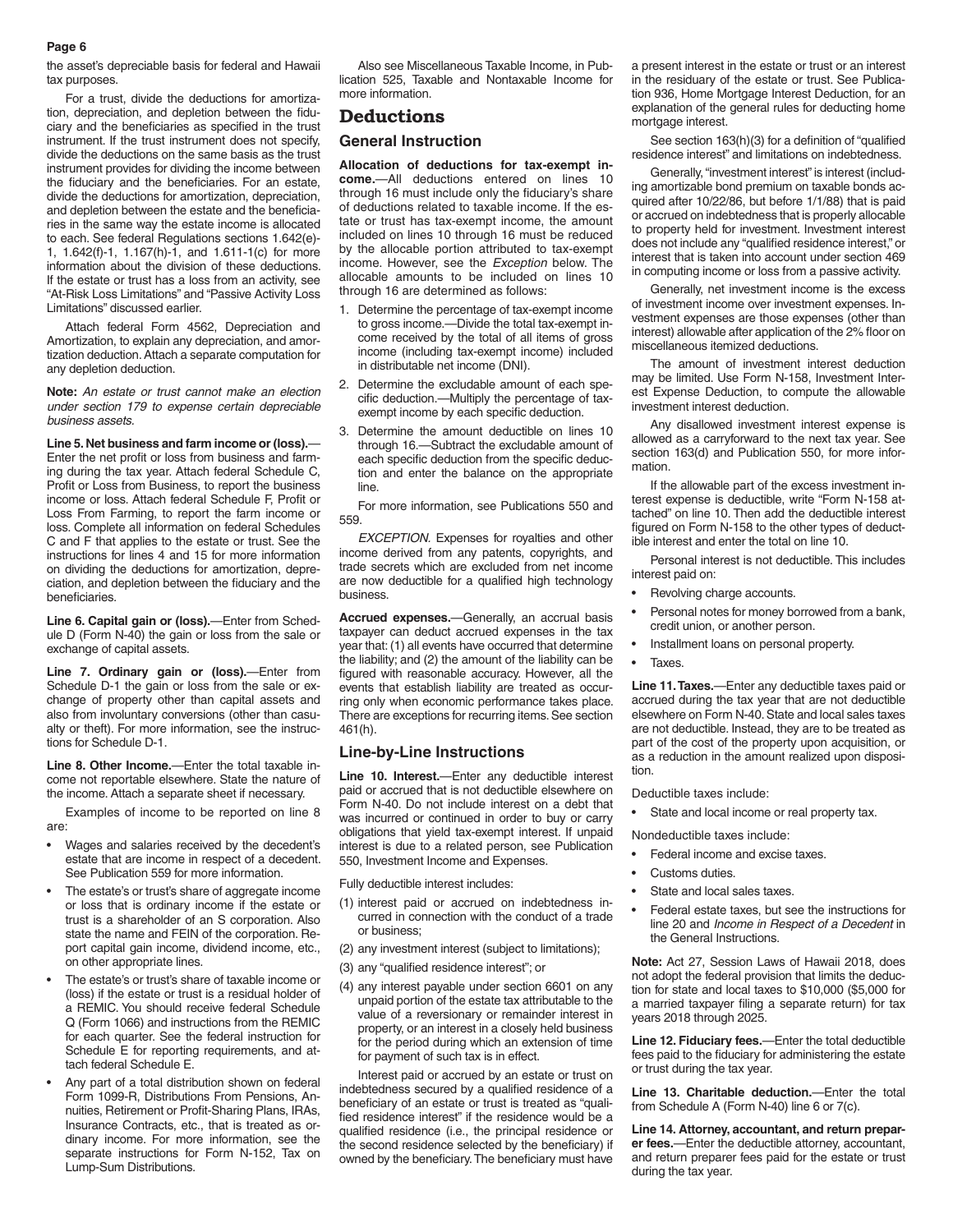the asset's depreciable basis for federal and Hawaii tax purposes.

For a trust, divide the deductions for amortization, depreciation, and depletion between the fiduciary and the beneficiaries as specified in the trust instrument. If the trust instrument does not specify, divide the deductions on the same basis as the trust instrument provides for dividing the income between the fiduciary and the beneficiaries. For an estate, divide the deductions for amortization, depreciation, and depletion between the estate and the beneficiaries in the same way the estate income is allocated to each. See federal Regulations sections 1.642(e)- 1, 1.642(f)-1, 1.167(h)-1, and 1.611-1(c) for more information about the division of these deductions. If the estate or trust has a loss from an activity, see "At-Risk Loss Limitations" and "Passive Activity Loss Limitations" discussed earlier.

Attach federal Form 4562, Depreciation and Amortization, to explain any depreciation, and amortization deduction. Attach a separate computation for any depletion deduction.

**Note:** *An estate or trust cannot make an election under section 179 to expense certain depreciable business assets.*

**Line 5. Net business and farm income or (loss).**— Enter the net profit or loss from business and farming during the tax year. Attach federal Schedule C, Profit or Loss from Business, to report the business income or loss. Attach federal Schedule F, Profit or Loss From Farming, to report the farm income or loss. Complete all information on federal Schedules C and F that applies to the estate or trust. See the instructions for lines 4 and 15 for more information on dividing the deductions for amortization, depreciation, and depletion between the fiduciary and the beneficiaries.

**Line 6. Capital gain or (loss).**—Enter from Schedule D (Form N-40) the gain or loss from the sale or exchange of capital assets.

**Line 7. Ordinary gain or (loss).**—Enter from Schedule D-1 the gain or loss from the sale or exchange of property other than capital assets and also from involuntary conversions (other than casualty or theft). For more information, see the instructions for Schedule D-1.

**Line 8. Other Income.**—Enter the total taxable income not reportable elsewhere. State the nature of the income. Attach a separate sheet if necessary.

Examples of income to be reported on line 8 are:

- Wages and salaries received by the decedent's estate that are income in respect of a decedent. See Publication 559 for more information.
- The estate's or trust's share of aggregate income or loss that is ordinary income if the estate or trust is a shareholder of an S corporation. Also state the name and FEIN of the corporation. Report capital gain income, dividend income, etc., on other appropriate lines.
- The estate's or trust's share of taxable income or (loss) if the estate or trust is a residual holder of a REMIC. You should receive federal Schedule Q (Form 1066) and instructions from the REMIC for each quarter. See the federal instruction for Schedule E for reporting requirements, and attach federal Schedule E.
- Any part of a total distribution shown on federal Form 1099-R, Distributions From Pensions, Annuities, Retirement or Profit-Sharing Plans, IRAs, Insurance Contracts, etc., that is treated as ordinary income. For more information, see the separate instructions for Form N-152, Tax on Lump-Sum Distributions.

Also see Miscellaneous Taxable Income, in Publication 525, Taxable and Nontaxable Income for more information.

### **Deductions**

#### **General Instruction**

**Allocation of deductions for tax-exempt income.**—All deductions entered on lines 10 through 16 must include only the fiduciary's share of deductions related to taxable income. If the estate or trust has tax-exempt income, the amount included on lines 10 through 16 must be reduced by the allocable portion attributed to tax-exempt income. However, see the *Exception* below. The allocable amounts to be included on lines 10 through 16 are determined as follows:

- 1. Determine the percentage of tax-exempt income to gross income.—Divide the total tax-exempt income received by the total of all items of gross income (including tax-exempt income) included in distributable net income (DNI).
- 2. Determine the excludable amount of each specific deduction.—Multiply the percentage of taxexempt income by each specific deduction.
- 3. Determine the amount deductible on lines 10 through 16.—Subtract the excludable amount of each specific deduction from the specific deduction and enter the balance on the appropriate line.

For more information, see Publications 550 and 559.

*EXCEPTION.* Expenses for royalties and other income derived from any patents, copyrights, and trade secrets which are excluded from net income are now deductible for a qualified high technology business.

**Accrued expenses.**—Generally, an accrual basis taxpayer can deduct accrued expenses in the tax year that: (1) all events have occurred that determine the liability; and (2) the amount of the liability can be figured with reasonable accuracy. However, all the events that establish liability are treated as occurring only when economic performance takes place. There are exceptions for recurring items. See section 461(h).

#### **Line-by-Line Instructions**

**Line 10. Interest.**—Enter any deductible interest paid or accrued that is not deductible elsewhere on Form N-40. Do not include interest on a debt that was incurred or continued in order to buy or carry obligations that yield tax-exempt interest. If unpaid interest is due to a related person, see Publication 550, Investment Income and Expenses.

Fully deductible interest includes:

- (1) interest paid or accrued on indebtedness incurred in connection with the conduct of a trade or business;
- (2) any investment interest (subject to limitations);
- (3) any "qualified residence interest"; or
- (4) any interest payable under section 6601 on any unpaid portion of the estate tax attributable to the value of a reversionary or remainder interest in property, or an interest in a closely held business for the period during which an extension of time for payment of such tax is in effect.

Interest paid or accrued by an estate or trust on indebtedness secured by a qualified residence of a beneficiary of an estate or trust is treated as "qualified residence interest" if the residence would be a qualified residence (i.e., the principal residence or the second residence selected by the beneficiary) if owned by the beneficiary. The beneficiary must have

a present interest in the estate or trust or an interest in the residuary of the estate or trust. See Publication 936, Home Mortgage Interest Deduction, for an explanation of the general rules for deducting home mortgage interest.

See section 163(h)(3) for a definition of "qualified residence interest" and limitations on indebtedness.

Generally, "investment interest" is interest (including amortizable bond premium on taxable bonds acquired after 10/22/86, but before 1/1/88) that is paid or accrued on indebtedness that is properly allocable to property held for investment. Investment interest does not include any "qualified residence interest," or interest that is taken into account under section 469 in computing income or loss from a passive activity.

Generally, net investment income is the excess of investment income over investment expenses. Investment expenses are those expenses (other than interest) allowable after application of the 2% floor on miscellaneous itemized deductions.

The amount of investment interest deduction may be limited. Use Form N-158, Investment Interest Expense Deduction, to compute the allowable investment interest deduction.

Any disallowed investment interest expense is allowed as a carryforward to the next tax year. See section 163(d) and Publication 550, for more information.

If the allowable part of the excess investment interest expense is deductible, write "Form N-158 attached" on line 10. Then add the deductible interest figured on Form N-158 to the other types of deductible interest and enter the total on line 10.

Personal interest is not deductible. This includes interest paid on:

- Revolving charge accounts.
- Personal notes for money borrowed from a bank, credit union, or another person.
	- Installment loans on personal property.
	- Taxes.

**Line 11. Taxes.**—Enter any deductible taxes paid or accrued during the tax year that are not deductible elsewhere on Form N-40. State and local sales taxes are not deductible. Instead, they are to be treated as part of the cost of the property upon acquisition, or as a reduction in the amount realized upon disposition.

Deductible taxes include:

State and local income or real property tax.

Nondeductible taxes include:

- Federal income and excise taxes.
- Customs duties.
- State and local sales taxes.
- Federal estate taxes, but see the instructions for line 20 and *Income in Respect of a Decedent* in the General Instructions.

**Note:** Act 27, Session Laws of Hawaii 2018, does not adopt the federal provision that limits the deduction for state and local taxes to \$10,000 (\$5,000 for a married taxpayer filing a separate return) for tax years 2018 through 2025.

**Line 12. Fiduciary fees.**—Enter the total deductible fees paid to the fiduciary for administering the estate or trust during the tax year.

**Line 13. Charitable deduction.**—Enter the total from Schedule A (Form N-40) line 6 or 7(c).

**Line 14. Attorney, accountant, and return preparer fees.**—Enter the deductible attorney, accountant, and return preparer fees paid for the estate or trust during the tax year.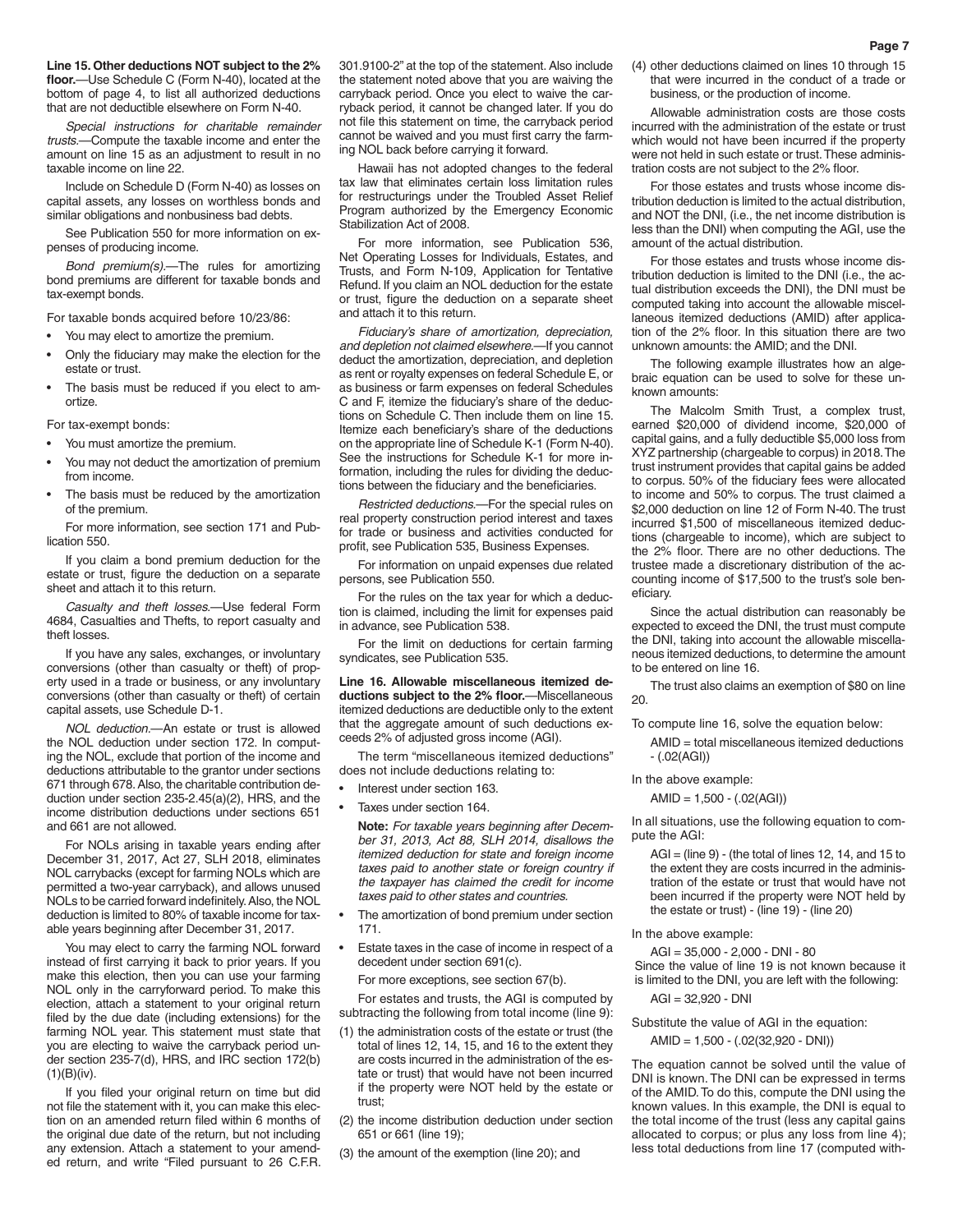**Line 15. Other deductions NOT subject to the 2% floor.**—Use Schedule C (Form N-40), located at the bottom of page 4, to list all authorized deductions that are not deductible elsewhere on Form N-40.

*Special instructions for charitable remainder trusts.*—Compute the taxable income and enter the amount on line 15 as an adjustment to result in no taxable income on line 22.

Include on Schedule D (Form N-40) as losses on capital assets, any losses on worthless bonds and similar obligations and nonbusiness bad debts.

See Publication 550 for more information on expenses of producing income.

*Bond premium(s).*—The rules for amortizing bond premiums are different for taxable bonds and tax-exempt bonds.

For taxable bonds acquired before 10/23/86:

- You may elect to amortize the premium.
- Only the fiduciary may make the election for the estate or trust.
- The basis must be reduced if you elect to amortize.

For tax-exempt bonds:

- You must amortize the premium.
- You may not deduct the amortization of premium from income.
- The basis must be reduced by the amortization of the premium.
- For more information, see section 171 and Publication 550.

If you claim a bond premium deduction for the estate or trust, figure the deduction on a separate sheet and attach it to this return.

*Casualty and theft losses.*—Use federal Form 4684, Casualties and Thefts, to report casualty and theft losses.

If you have any sales, exchanges, or involuntary conversions (other than casualty or theft) of property used in a trade or business, or any involuntary conversions (other than casualty or theft) of certain capital assets, use Schedule D-1.

*NOL deduction.*—An estate or trust is allowed the NOL deduction under section 172. In computing the NOL, exclude that portion of the income and deductions attributable to the grantor under sections 671 through 678. Also, the charitable contribution deduction under section 235-2.45(a)(2), HRS, and the income distribution deductions under sections 651 and 661 are not allowed.

For NOLs arising in taxable years ending after December 31, 2017, Act 27, SLH 2018, eliminates NOL carrybacks (except for farming NOLs which are permitted a two-year carryback), and allows unused NOLs to be carried forward indefinitely. Also, the NOL deduction is limited to 80% of taxable income for taxable years beginning after December 31, 2017.

You may elect to carry the farming NOL forward instead of first carrying it back to prior years. If you make this election, then you can use your farming NOL only in the carryforward period. To make this election, attach a statement to your original return filed by the due date (including extensions) for the farming NOL year. This statement must state that you are electing to waive the carryback period under section 235-7(d), HRS, and IRC section 172(b)  $(1)(B)(iv)$ .

If you filed your original return on time but did not file the statement with it, you can make this election on an amended return filed within 6 months of the original due date of the return, but not including any extension. Attach a statement to your amended return, and write "Filed pursuant to 26 C.F.R. 301.9100-2" at the top of the statement. Also include the statement noted above that you are waiving the carryback period. Once you elect to waive the carryback period, it cannot be changed later. If you do not file this statement on time, the carryback period cannot be waived and you must first carry the farming NOL back before carrying it forward.

Hawaii has not adopted changes to the federal tax law that eliminates certain loss limitation rules for restructurings under the Troubled Asset Relief Program authorized by the Emergency Economic Stabilization Act of 2008.

For more information, see Publication 536, Net Operating Losses for Individuals, Estates, and Trusts, and Form N-109, Application for Tentative Refund. If you claim an NOL deduction for the estate or trust, figure the deduction on a separate sheet and attach it to this return.

*Fiduciary's share of amortization, depreciation, and depletion not claimed elsewhere.*—If you cannot deduct the amortization, depreciation, and depletion as rent or royalty expenses on federal Schedule E, or as business or farm expenses on federal Schedules C and F, itemize the fiduciary's share of the deductions on Schedule C. Then include them on line 15. Itemize each beneficiary's share of the deductions on the appropriate line of Schedule K-1 (Form N-40). See the instructions for Schedule K-1 for more information, including the rules for dividing the deductions between the fiduciary and the beneficiaries.

*Restricted deductions.*—For the special rules on real property construction period interest and taxes for trade or business and activities conducted for profit, see Publication 535, Business Expenses.

For information on unpaid expenses due related persons, see Publication 550.

For the rules on the tax year for which a deduction is claimed, including the limit for expenses paid in advance, see Publication 538.

For the limit on deductions for certain farming syndicates, see Publication 535.

**Line 16. Allowable miscellaneous itemized deductions subject to the 2% floor.**—Miscellaneous itemized deductions are deductible only to the extent that the aggregate amount of such deductions exceeds 2% of adjusted gross income (AGI).

The term "miscellaneous itemized deductions" does not include deductions relating to:

- Interest under section 163.
- Taxes under section 164.

**Note:** *For taxable years beginning after December 31, 2013, Act 88, SLH 2014, disallows the itemized deduction for state and foreign income taxes paid to another state or foreign country if the taxpayer has claimed the credit for income taxes paid to other states and countries.*

- The amortization of bond premium under section 171.
- Estate taxes in the case of income in respect of a decedent under section 691(c).

For more exceptions, see section 67(b).

For estates and trusts, the AGI is computed by subtracting the following from total income (line 9):

- (1) the administration costs of the estate or trust (the total of lines 12, 14, 15, and 16 to the extent they are costs incurred in the administration of the estate or trust) that would have not been incurred if the property were NOT held by the estate or trust;
- (2) the income distribution deduction under section 651 or 661 (line 19);
- (3) the amount of the exemption (line 20); and

(4) other deductions claimed on lines 10 through 15 that were incurred in the conduct of a trade or business, or the production of income.

Allowable administration costs are those costs incurred with the administration of the estate or trust which would not have been incurred if the property were not held in such estate or trust. These administration costs are not subject to the 2% floor.

For those estates and trusts whose income distribution deduction is limited to the actual distribution, and NOT the DNI, (i.e., the net income distribution is less than the DNI) when computing the AGI, use the amount of the actual distribution.

For those estates and trusts whose income distribution deduction is limited to the DNI (i.e., the actual distribution exceeds the DNI), the DNI must be computed taking into account the allowable miscellaneous itemized deductions (AMID) after application of the 2% floor. In this situation there are two unknown amounts: the AMID; and the DNI.

The following example illustrates how an algebraic equation can be used to solve for these unknown amounts:

The Malcolm Smith Trust, a complex trust, earned \$20,000 of dividend income, \$20,000 of capital gains, and a fully deductible \$5,000 loss from XYZ partnership (chargeable to corpus) in 2018. The trust instrument provides that capital gains be added to corpus. 50% of the fiduciary fees were allocated to income and 50% to corpus. The trust claimed a \$2,000 deduction on line 12 of Form N-40. The trust incurred \$1,500 of miscellaneous itemized deductions (chargeable to income), which are subject to the 2% floor. There are no other deductions. The trustee made a discretionary distribution of the accounting income of \$17,500 to the trust's sole beneficiary.

Since the actual distribution can reasonably be expected to exceed the DNI, the trust must compute the DNI, taking into account the allowable miscellaneous itemized deductions, to determine the amount to be entered on line 16.

The trust also claims an exemption of \$80 on line 20.

To compute line 16, solve the equation below:

AMID = total miscellaneous itemized deductions - (.02(AGI))

In the above example:

 $AMID = 1,500 - (.02(AGI))$ 

In all situations, use the following equation to compute the AGI:

- $AGI = (line 9) (the total of lines 12, 14, and 15 to$ the extent they are costs incurred in the administration of the estate or trust that would have not been incurred if the property were NOT held by the estate or trust) - (line 19) - (line 20)
- In the above example:

AGI = 35,000 - 2,000 - DNI - 80

Since the value of line 19 is not known because it is limited to the DNI, you are left with the following:

AGI = 32,920 - DNI

Substitute the value of AGI in the equation:

AMID = 1,500 - (.02(32,920 - DNI))

The equation cannot be solved until the value of DNI is known. The DNI can be expressed in terms of the AMID. To do this, compute the DNI using the known values. In this example, the DNI is equal to the total income of the trust (less any capital gains allocated to corpus; or plus any loss from line 4); less total deductions from line 17 (computed with-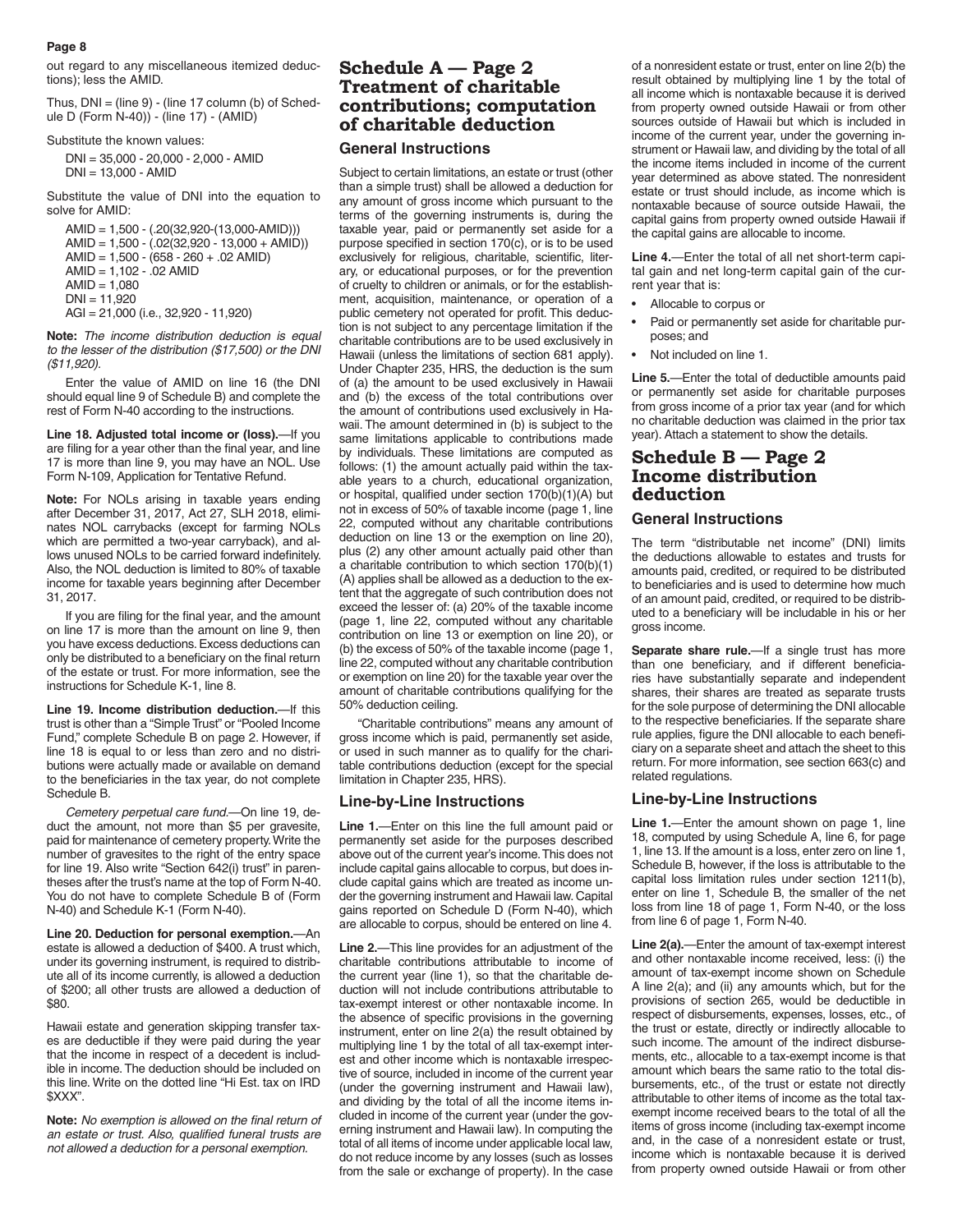out regard to any miscellaneous itemized deductions); less the AMID.

Thus,  $DNI = (line 9) - (line 17 column (b) of Sched$ ule D (Form N-40)) - (line 17) - (AMID)

Substitute the known values:

DNI = 35,000 - 20,000 - 2,000 - AMID DNI = 13,000 - AMID

Substitute the value of DNI into the equation to solve for AMID:

AMID = 1,500 - (.20(32,920-(13,000-AMID)))  $AMID = 1.500 - (.02(32.920 - 13.000 + AMID))$ AMID = 1,500 - (658 - 260 + .02 AMID) AMID = 1,102 - .02 AMID  $AMID = 1,080$  $DNI = 11,920$ AGI = 21,000 (i.e., 32,920 - 11,920)

**Note:** *The income distribution deduction is equal to the lesser of the distribution (\$17,500) or the DNI (\$11,920).*

Enter the value of AMID on line 16 (the DNI should equal line 9 of Schedule B) and complete the rest of Form N-40 according to the instructions.

**Line 18. Adjusted total income or (loss).**—If you are filing for a year other than the final year, and line 17 is more than line 9, you may have an NOL. Use Form N-109, Application for Tentative Refund.

**Note:** For NOLs arising in taxable years ending after December 31, 2017, Act 27, SLH 2018, eliminates NOL carrybacks (except for farming NOLs which are permitted a two-year carryback), and allows unused NOLs to be carried forward indefinitely. Also, the NOL deduction is limited to 80% of taxable income for taxable years beginning after December 31, 2017.

If you are filing for the final year, and the amount on line 17 is more than the amount on line 9, then you have excess deductions. Excess deductions can only be distributed to a beneficiary on the final return of the estate or trust. For more information, see the instructions for Schedule K-1, line 8.

**Line 19. Income distribution deduction.**—If this trust is other than a "Simple Trust" or "Pooled Income Fund," complete Schedule B on page 2. However, if line 18 is equal to or less than zero and no distributions were actually made or available on demand to the beneficiaries in the tax year, do not complete Schedule B.

*Cemetery perpetual care fund.*—On line 19, deduct the amount, not more than \$5 per gravesite, paid for maintenance of cemetery property. Write the number of gravesites to the right of the entry space for line 19. Also write "Section 642(i) trust" in parentheses after the trust's name at the top of Form N-40. You do not have to complete Schedule B of (Form N-40) and Schedule K-1 (Form N-40).

**Line 20. Deduction for personal exemption.**—An estate is allowed a deduction of \$400. A trust which, under its governing instrument, is required to distribute all of its income currently, is allowed a deduction of \$200; all other trusts are allowed a deduction of \$80.

Hawaii estate and generation skipping transfer taxes are deductible if they were paid during the year that the income in respect of a decedent is includible in income. The deduction should be included on this line. Write on the dotted line "Hi Est. tax on IRD \$XXX".

**Note:** *No exemption is allowed on the final return of an estate or trust. Also, qualified funeral trusts are not allowed a deduction for a personal exemption.*

## **Schedule A — Page 2 Treatment of charitable contributions; computation of charitable deduction**

### **General Instructions**

Subject to certain limitations, an estate or trust (other than a simple trust) shall be allowed a deduction for any amount of gross income which pursuant to the terms of the governing instruments is, during the taxable year, paid or permanently set aside for a purpose specified in section 170(c), or is to be used exclusively for religious, charitable, scientific, literary, or educational purposes, or for the prevention of cruelty to children or animals, or for the establishment, acquisition, maintenance, or operation of a public cemetery not operated for profit. This deduction is not subject to any percentage limitation if the charitable contributions are to be used exclusively in Hawaii (unless the limitations of section 681 apply). Under Chapter 235, HRS, the deduction is the sum of (a) the amount to be used exclusively in Hawaii and (b) the excess of the total contributions over the amount of contributions used exclusively in Hawaii. The amount determined in (b) is subject to the same limitations applicable to contributions made by individuals. These limitations are computed as follows: (1) the amount actually paid within the taxable years to a church, educational organization, or hospital, qualified under section 170(b)(1)(A) but not in excess of 50% of taxable income (page 1, line 22, computed without any charitable contributions deduction on line 13 or the exemption on line 20), plus (2) any other amount actually paid other than a charitable contribution to which section 170(b)(1) (A) applies shall be allowed as a deduction to the extent that the aggregate of such contribution does not exceed the lesser of: (a) 20% of the taxable income (page 1, line 22, computed without any charitable contribution on line 13 or exemption on line 20), or (b) the excess of 50% of the taxable income (page 1, line 22, computed without any charitable contribution or exemption on line 20) for the taxable year over the amount of charitable contributions qualifying for the 50% deduction ceiling.

"Charitable contributions" means any amount of gross income which is paid, permanently set aside, or used in such manner as to qualify for the charitable contributions deduction (except for the special limitation in Chapter 235, HRS).

#### **Line-by-Line Instructions**

**Line 1.**—Enter on this line the full amount paid or permanently set aside for the purposes described above out of the current year's income. This does not include capital gains allocable to corpus, but does include capital gains which are treated as income under the governing instrument and Hawaii law. Capital gains reported on Schedule D (Form N-40), which are allocable to corpus, should be entered on line 4.

**Line 2.**—This line provides for an adjustment of the charitable contributions attributable to income of the current year (line 1), so that the charitable deduction will not include contributions attributable to tax-exempt interest or other nontaxable income. In the absence of specific provisions in the governing instrument, enter on line 2(a) the result obtained by multiplying line 1 by the total of all tax-exempt interest and other income which is nontaxable irrespective of source, included in income of the current year (under the governing instrument and Hawaii law), and dividing by the total of all the income items included in income of the current year (under the governing instrument and Hawaii law). In computing the total of all items of income under applicable local law, do not reduce income by any losses (such as losses from the sale or exchange of property). In the case

of a nonresident estate or trust, enter on line 2(b) the result obtained by multiplying line 1 by the total of all income which is nontaxable because it is derived from property owned outside Hawaii or from other sources outside of Hawaii but which is included in income of the current year, under the governing instrument or Hawaii law, and dividing by the total of all the income items included in income of the current year determined as above stated. The nonresident estate or trust should include, as income which is nontaxable because of source outside Hawaii, the capital gains from property owned outside Hawaii if the capital gains are allocable to income.

**Line 4.**—Enter the total of all net short-term capital gain and net long-term capital gain of the current year that is:

- Allocable to corpus or
- Paid or permanently set aside for charitable purposes; and
- Not included on line 1.

**Line 5.**—Enter the total of deductible amounts paid or permanently set aside for charitable purposes from gross income of a prior tax year (and for which no charitable deduction was claimed in the prior tax year). Attach a statement to show the details.

## **Schedule B — Page 2 Income distribution deduction**

### **General Instructions**

The term "distributable net income" (DNI) limits the deductions allowable to estates and trusts for amounts paid, credited, or required to be distributed to beneficiaries and is used to determine how much of an amount paid, credited, or required to be distributed to a beneficiary will be includable in his or her gross income.

**Separate share rule.**—If a single trust has more than one beneficiary, and if different beneficiaries have substantially separate and independent shares, their shares are treated as separate trusts for the sole purpose of determining the DNI allocable to the respective beneficiaries. If the separate share rule applies, figure the DNI allocable to each beneficiary on a separate sheet and attach the sheet to this return. For more information, see section 663(c) and related regulations.

#### **Line-by-Line Instructions**

**Line 1.**—Enter the amount shown on page 1, line 18, computed by using Schedule A, line 6, for page 1, line 13. If the amount is a loss, enter zero on line 1, Schedule B, however, if the loss is attributable to the capital loss limitation rules under section 1211(b), enter on line 1, Schedule B, the smaller of the net loss from line 18 of page 1, Form N-40, or the loss from line 6 of page 1, Form N-40.

**Line 2(a).**—Enter the amount of tax-exempt interest and other nontaxable income received, less: (i) the amount of tax-exempt income shown on Schedule A line 2(a); and (ii) any amounts which, but for the provisions of section 265, would be deductible in respect of disbursements, expenses, losses, etc., of the trust or estate, directly or indirectly allocable to such income. The amount of the indirect disbursements, etc., allocable to a tax-exempt income is that amount which bears the same ratio to the total disbursements, etc., of the trust or estate not directly attributable to other items of income as the total taxexempt income received bears to the total of all the items of gross income (including tax-exempt income and, in the case of a nonresident estate or trust, income which is nontaxable because it is derived from property owned outside Hawaii or from other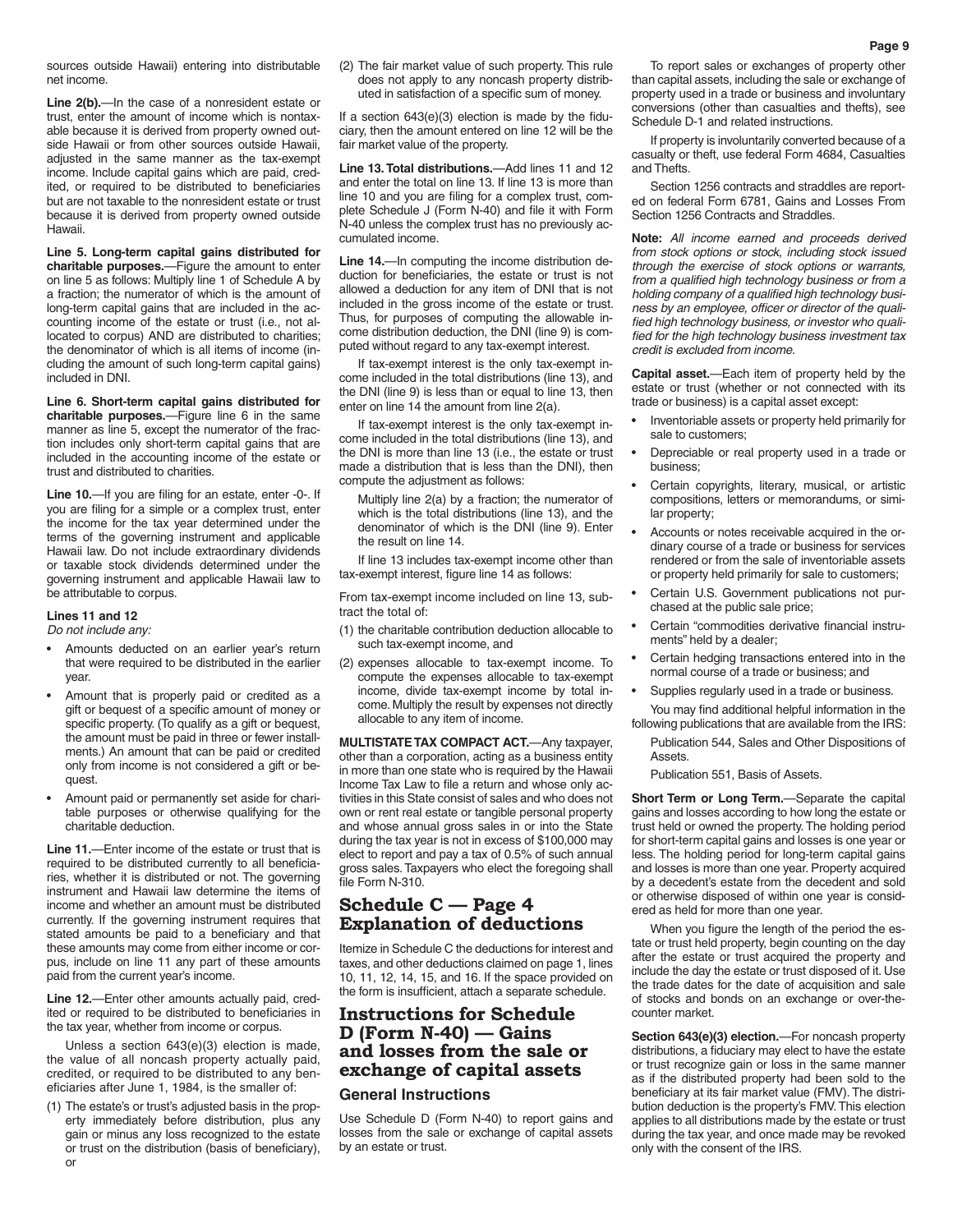sources outside Hawaii) entering into distributable net income.

Line 2(b).—In the case of a nonresident estate or trust, enter the amount of income which is nontaxable because it is derived from property owned outside Hawaii or from other sources outside Hawaii. adjusted in the same manner as the tax-exempt income. Include capital gains which are paid, credited, or required to be distributed to beneficiaries but are not taxable to the nonresident estate or trust because it is derived from property owned outside Hawaii.

**Line 5. Long-term capital gains distributed for charitable purposes.**—Figure the amount to enter on line 5 as follows: Multiply line 1 of Schedule A by a fraction; the numerator of which is the amount of long-term capital gains that are included in the accounting income of the estate or trust (i.e., not allocated to corpus) AND are distributed to charities; the denominator of which is all items of income (including the amount of such long-term capital gains) included in DNI.

**Line 6. Short-term capital gains distributed for charitable purposes.**—Figure line 6 in the same manner as line 5, except the numerator of the fraction includes only short-term capital gains that are included in the accounting income of the estate or trust and distributed to charities.

**Line 10.**—If you are filing for an estate, enter -0-. If you are filing for a simple or a complex trust, enter the income for the tax year determined under the terms of the governing instrument and applicable Hawaii law. Do not include extraordinary dividends or taxable stock dividends determined under the governing instrument and applicable Hawaii law to be attributable to corpus.

#### **Lines 11 and 12**

*Do not include any:*

- Amounts deducted on an earlier year's return that were required to be distributed in the earlier year.
- Amount that is properly paid or credited as a gift or bequest of a specific amount of money or specific property. (To qualify as a gift or bequest, the amount must be paid in three or fewer installments.) An amount that can be paid or credited only from income is not considered a gift or bequest.
- Amount paid or permanently set aside for charitable purposes or otherwise qualifying for the charitable deduction.

**Line 11.**—Enter income of the estate or trust that is required to be distributed currently to all beneficiaries, whether it is distributed or not. The governing instrument and Hawaii law determine the items of income and whether an amount must be distributed currently. If the governing instrument requires that stated amounts be paid to a beneficiary and that these amounts may come from either income or corpus, include on line 11 any part of these amounts paid from the current year's income.

**Line 12.**—Enter other amounts actually paid, credited or required to be distributed to beneficiaries in the tax year, whether from income or corpus.

Unless a section 643(e)(3) election is made, the value of all noncash property actually paid, credited, or required to be distributed to any beneficiaries after June 1, 1984, is the smaller of:

(1) The estate's or trust's adjusted basis in the property immediately before distribution, plus any gain or minus any loss recognized to the estate or trust on the distribution (basis of beneficiary), or

(2) The fair market value of such property. This rule does not apply to any noncash property distributed in satisfaction of a specific sum of money.

If a section 643(e)(3) election is made by the fiduciary, then the amount entered on line 12 will be the fair market value of the property.

**Line 13. Total distributions.**—Add lines 11 and 12 and enter the total on line 13. If line 13 is more than line 10 and you are filing for a complex trust, complete Schedule J (Form N-40) and file it with Form N-40 unless the complex trust has no previously accumulated income.

**Line 14.**—In computing the income distribution deduction for beneficiaries, the estate or trust is not allowed a deduction for any item of DNI that is not included in the gross income of the estate or trust. Thus, for purposes of computing the allowable income distribution deduction, the DNI (line 9) is computed without regard to any tax-exempt interest.

If tax-exempt interest is the only tax-exempt income included in the total distributions (line 13), and the DNI (line 9) is less than or equal to line 13, then enter on line 14 the amount from line 2(a).

If tax-exempt interest is the only tax-exempt income included in the total distributions (line 13), and the DNI is more than line 13 (i.e., the estate or trust made a distribution that is less than the DNI), then compute the adjustment as follows:

Multiply line 2(a) by a fraction; the numerator of which is the total distributions (line 13), and the denominator of which is the DNI (line 9). Enter the result on line 14.

If line 13 includes tax-exempt income other than tax-exempt interest, figure line 14 as follows:

From tax-exempt income included on line 13, subtract the total of:

- (1) the charitable contribution deduction allocable to such tax-exempt income, and
- (2) expenses allocable to tax-exempt income. To compute the expenses allocable to tax-exempt income, divide tax-exempt income by total income. Multiply the result by expenses not directly allocable to any item of income.

**MULTISTATE TAX COMPACT ACT.**—Any taxpayer, other than a corporation, acting as a business entity in more than one state who is required by the Hawaii Income Tax Law to file a return and whose only activities in this State consist of sales and who does not own or rent real estate or tangible personal property and whose annual gross sales in or into the State during the tax year is not in excess of \$100,000 may elect to report and pay a tax of 0.5% of such annual gross sales. Taxpayers who elect the foregoing shall file Form N-310.

## **Schedule C — Page 4 Explanation of deductions**

Itemize in Schedule C the deductions for interest and taxes, and other deductions claimed on page 1, lines 10, 11, 12, 14, 15, and 16. If the space provided on the form is insufficient, attach a separate schedule.

## **Instructions for Schedule D (Form N-40) — Gains and losses from the sale or exchange of capital assets**

#### **General Instructions**

Use Schedule D (Form N-40) to report gains and losses from the sale or exchange of capital assets by an estate or trust.

To report sales or exchanges of property other than capital assets, including the sale or exchange of property used in a trade or business and involuntary conversions (other than casualties and thefts), see Schedule D-1 and related instructions.

If property is involuntarily converted because of a casualty or theft, use federal Form 4684, Casualties and Thefts.

Section 1256 contracts and straddles are reported on federal Form 6781, Gains and Losses From Section 1256 Contracts and Straddles.

**Note:** *All income earned and proceeds derived from stock options or stock, including stock issued through the exercise of stock options or warrants, from a qualified high technology business or from a holding company of a qualified high technology business by an employee, officer or director of the qualified high technology business, or investor who qualified for the high technology business investment tax credit is excluded from income.*

**Capital asset.**—Each item of property held by the estate or trust (whether or not connected with its trade or business) is a capital asset except:

- Inventoriable assets or property held primarily for sale to customers;
- Depreciable or real property used in a trade or business;
- Certain copyrights, literary, musical, or artistic compositions, letters or memorandums, or similar property;
- Accounts or notes receivable acquired in the ordinary course of a trade or business for services rendered or from the sale of inventoriable assets or property held primarily for sale to customers;
- Certain U.S. Government publications not purchased at the public sale price;
- Certain "commodities derivative financial instruments" held by a dealer;
- Certain hedging transactions entered into in the normal course of a trade or business; and
- Supplies regularly used in a trade or business. You may find additional helpful information in the
- following publications that are available from the IRS:
	- Publication 544, Sales and Other Dispositions of Assets.

Publication 551, Basis of Assets.

**Short Term or Long Term.**—Separate the capital gains and losses according to how long the estate or trust held or owned the property. The holding period for short-term capital gains and losses is one year or less. The holding period for long-term capital gains and losses is more than one year. Property acquired by a decedent's estate from the decedent and sold or otherwise disposed of within one year is considered as held for more than one year.

When you figure the length of the period the estate or trust held property, begin counting on the day after the estate or trust acquired the property and include the day the estate or trust disposed of it. Use the trade dates for the date of acquisition and sale of stocks and bonds on an exchange or over-thecounter market.

**Section 643(e)(3) election.**—For noncash property distributions, a fiduciary may elect to have the estate or trust recognize gain or loss in the same manner as if the distributed property had been sold to the beneficiary at its fair market value (FMV). The distribution deduction is the property's FMV. This election applies to all distributions made by the estate or trust during the tax year, and once made may be revoked only with the consent of the IRS.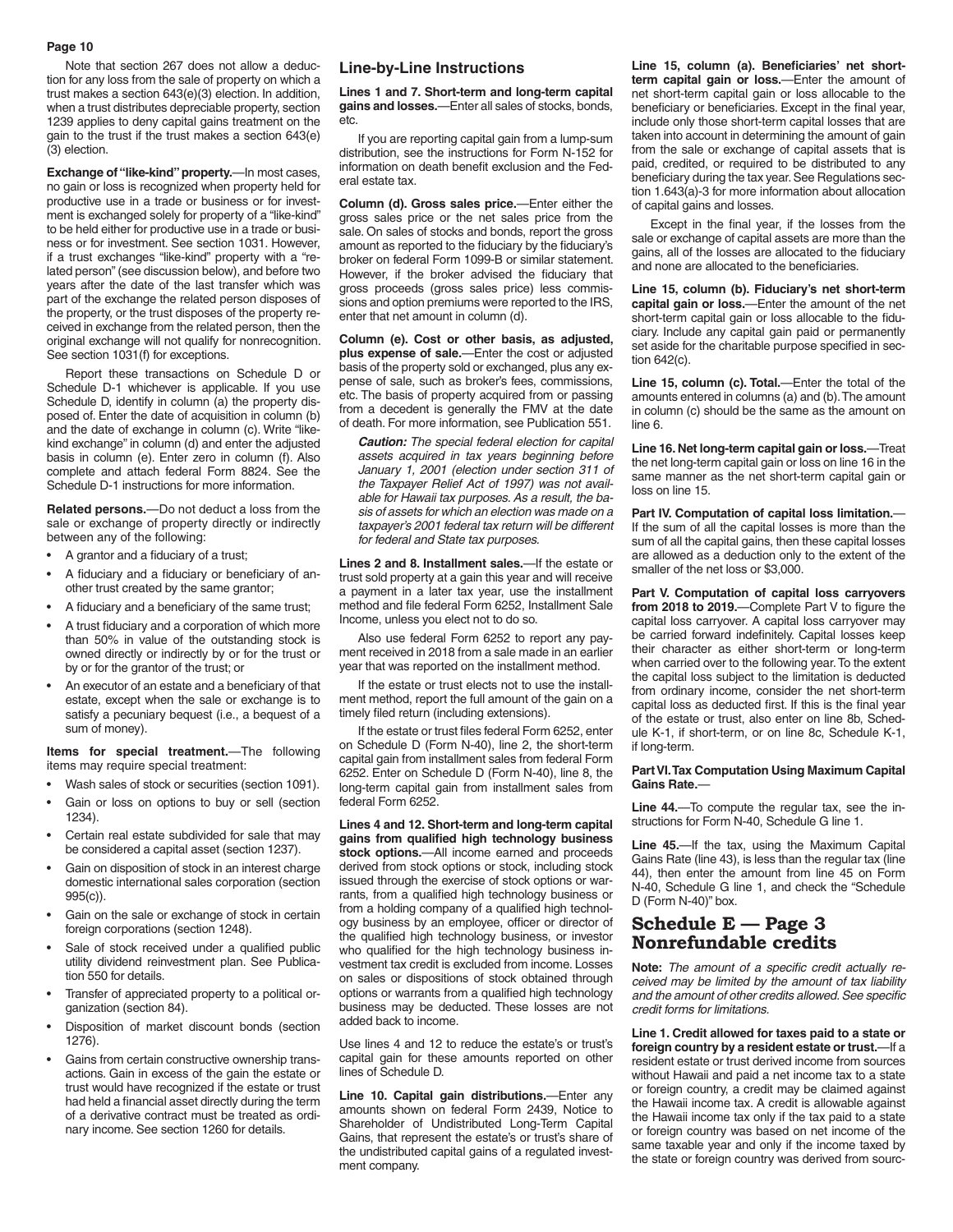Note that section 267 does not allow a deduction for any loss from the sale of property on which a trust makes a section 643(e)(3) election. In addition, when a trust distributes depreciable property, section 1239 applies to deny capital gains treatment on the gain to the trust if the trust makes a section 643(e) (3) election.

**Exchange of "like-kind" property.**—In most cases, no gain or loss is recognized when property held for productive use in a trade or business or for investment is exchanged solely for property of a "like-kind" to be held either for productive use in a trade or business or for investment. See section 1031. However, if a trust exchanges "like-kind" property with a "related person" (see discussion below), and before two years after the date of the last transfer which was part of the exchange the related person disposes of the property, or the trust disposes of the property received in exchange from the related person, then the original exchange will not qualify for nonrecognition. See section 1031(f) for exceptions.

Report these transactions on Schedule D or Schedule D-1 whichever is applicable. If you use Schedule D, identify in column (a) the property disposed of. Enter the date of acquisition in column (b) and the date of exchange in column (c). Write "likekind exchange" in column (d) and enter the adjusted basis in column (e). Enter zero in column (f). Also complete and attach federal Form 8824. See the Schedule D-1 instructions for more information.

**Related persons.**—Do not deduct a loss from the sale or exchange of property directly or indirectly between any of the following:

- A grantor and a fiduciary of a trust;
- A fiduciary and a fiduciary or beneficiary of another trust created by the same grantor;
- A fiduciary and a beneficiary of the same trust;
- A trust fiduciary and a corporation of which more than 50% in value of the outstanding stock is owned directly or indirectly by or for the trust or by or for the grantor of the trust; or
- An executor of an estate and a beneficiary of that estate, except when the sale or exchange is to satisfy a pecuniary bequest (i.e., a bequest of a sum of money).

**Items for special treatment.**—The following items may require special treatment:

- Wash sales of stock or securities (section 1091).
- Gain or loss on options to buy or sell (section 1234).
- Certain real estate subdivided for sale that may be considered a capital asset (section 1237).
- Gain on disposition of stock in an interest charge domestic international sales corporation (section 995(c)).
- Gain on the sale or exchange of stock in certain foreign corporations (section 1248).
- Sale of stock received under a qualified public utility dividend reinvestment plan. See Publication 550 for details.
- Transfer of appreciated property to a political organization (section 84).
- Disposition of market discount bonds (section 1276).
- Gains from certain constructive ownership transactions. Gain in excess of the gain the estate or trust would have recognized if the estate or trust had held a financial asset directly during the term of a derivative contract must be treated as ordinary income. See section 1260 for details.

#### **Line-by-Line Instructions**

**Lines 1 and 7. Short-term and long-term capital gains and losses.**—Enter all sales of stocks, bonds, etc.

If you are reporting capital gain from a lump-sum distribution, see the instructions for Form N-152 for information on death benefit exclusion and the Federal estate tax.

**Column (d). Gross sales price.**—Enter either the gross sales price or the net sales price from the sale. On sales of stocks and bonds, report the gross amount as reported to the fiduciary by the fiduciary's broker on federal Form 1099-B or similar statement. However, if the broker advised the fiduciary that gross proceeds (gross sales price) less commissions and option premiums were reported to the IRS, enter that net amount in column (d).

**Column (e). Cost or other basis, as adjusted, plus expense of sale.**—Enter the cost or adjusted basis of the property sold or exchanged, plus any expense of sale, such as broker's fees, commissions, etc. The basis of property acquired from or passing from a decedent is generally the FMV at the date of death. For more information, see Publication 551.

*Caution: The special federal election for capital assets acquired in tax years beginning before January 1, 2001 (election under section 311 of the Taxpayer Relief Act of 1997) was not available for Hawaii tax purposes. As a result, the basis of assets for which an election was made on a taxpayer's 2001 federal tax return will be different for federal and State tax purposes.*

**Lines 2 and 8. Installment sales.**—If the estate or trust sold property at a gain this year and will receive a payment in a later tax year, use the installment method and file federal Form 6252, Installment Sale Income, unless you elect not to do so.

Also use federal Form 6252 to report any payment received in 2018 from a sale made in an earlier year that was reported on the installment method.

If the estate or trust elects not to use the installment method, report the full amount of the gain on a timely filed return (including extensions).

If the estate or trust files federal Form 6252, enter on Schedule D (Form N-40), line 2, the short-term capital gain from installment sales from federal Form 6252. Enter on Schedule D (Form N-40), line 8, the long-term capital gain from installment sales from federal Form 6252.

**Lines 4 and 12. Short-term and long-term capital gains from qualified high technology business stock options.**—All income earned and proceeds derived from stock options or stock, including stock issued through the exercise of stock options or warrants, from a qualified high technology business or from a holding company of a qualified high technology business by an employee, officer or director of the qualified high technology business, or investor who qualified for the high technology business investment tax credit is excluded from income. Losses on sales or dispositions of stock obtained through options or warrants from a qualified high technology business may be deducted. These losses are not added back to income.

Use lines 4 and 12 to reduce the estate's or trust's capital gain for these amounts reported on other lines of Schedule D.

**Line 10. Capital gain distributions.**—Enter any amounts shown on federal Form 2439, Notice to Shareholder of Undistributed Long-Term Capital Gains, that represent the estate's or trust's share of the undistributed capital gains of a regulated investment company.

**Line 15, column (a). Beneficiaries' net shortterm capital gain or loss.**—Enter the amount of net short-term capital gain or loss allocable to the beneficiary or beneficiaries. Except in the final year, include only those short-term capital losses that are taken into account in determining the amount of gain from the sale or exchange of capital assets that is paid, credited, or required to be distributed to any beneficiary during the tax year. See Regulations section 1.643(a)-3 for more information about allocation of capital gains and losses.

Except in the final year, if the losses from the sale or exchange of capital assets are more than the gains, all of the losses are allocated to the fiduciary and none are allocated to the beneficiaries.

**Line 15, column (b). Fiduciary's net short-term capital gain or loss.**—Enter the amount of the net short-term capital gain or loss allocable to the fiduciary. Include any capital gain paid or permanently set aside for the charitable purpose specified in section 642(c).

**Line 15, column (c). Total.**—Enter the total of the amounts entered in columns (a) and (b). The amount in column (c) should be the same as the amount on line 6.

**Line 16. Net long-term capital gain or loss.**—Treat the net long-term capital gain or loss on line 16 in the same manner as the net short-term capital gain or loss on line 15.

**Part IV. Computation of capital loss limitation.**— If the sum of all the capital losses is more than the sum of all the capital gains, then these capital losses are allowed as a deduction only to the extent of the smaller of the net loss or \$3,000.

**Part V. Computation of capital loss carryovers from 2018 to 2019.**—Complete Part V to figure the capital loss carryover. A capital loss carryover may be carried forward indefinitely. Capital losses keep their character as either short-term or long-term when carried over to the following year. To the extent the capital loss subject to the limitation is deducted from ordinary income, consider the net short-term capital loss as deducted first. If this is the final year of the estate or trust, also enter on line 8b, Schedule K-1, if short-term, or on line 8c, Schedule K-1, if long-term.

#### **Part VI. Tax Computation Using Maximum Capital Gains Rate.**—

**Line 44.**—To compute the regular tax, see the instructions for Form N-40, Schedule G line 1.

**Line 45.**—If the tax, using the Maximum Capital Gains Rate (line 43), is less than the regular tax (line 44), then enter the amount from line 45 on Form N-40, Schedule G line 1, and check the "Schedule D (Form N-40)" box.

## **Schedule E — Page 3 Nonrefundable credits**

**Note:** *The amount of a specific credit actually received may be limited by the amount of tax liability and the amount of other credits allowed. See specific credit forms for limitations.*

**Line 1. Credit allowed for taxes paid to a state or foreign country by a resident estate or trust.**—If a resident estate or trust derived income from sources without Hawaii and paid a net income tax to a state or foreign country, a credit may be claimed against the Hawaii income tax. A credit is allowable against the Hawaii income tax only if the tax paid to a state or foreign country was based on net income of the same taxable year and only if the income taxed by the state or foreign country was derived from sourc-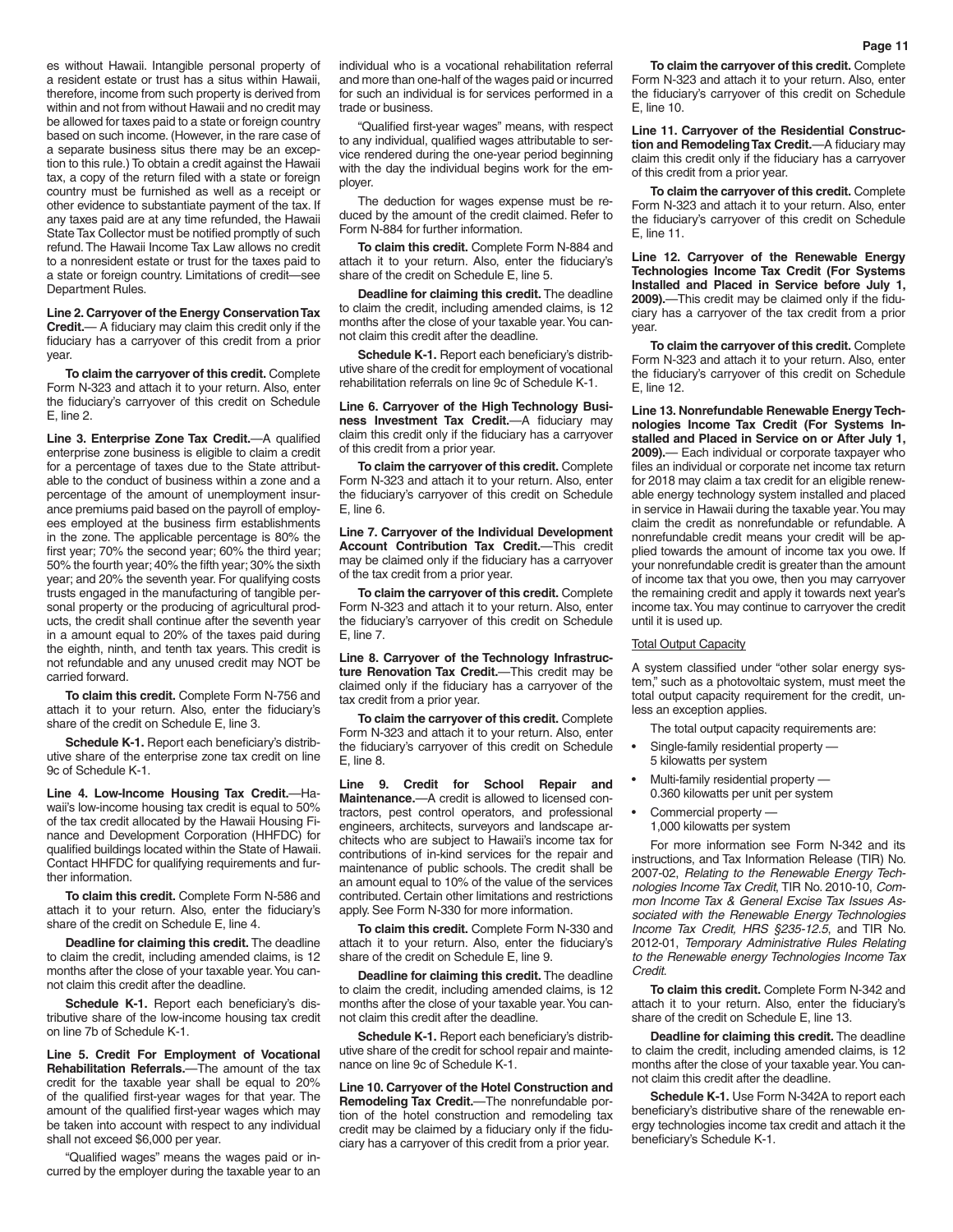es without Hawaii. Intangible personal property of a resident estate or trust has a situs within Hawaii, therefore, income from such property is derived from within and not from without Hawaii and no credit may be allowed for taxes paid to a state or foreign country based on such income. (However, in the rare case of a separate business situs there may be an exception to this rule.) To obtain a credit against the Hawaii tax, a copy of the return filed with a state or foreign country must be furnished as well as a receipt or other evidence to substantiate payment of the tax. If any taxes paid are at any time refunded, the Hawaii State Tax Collector must be notified promptly of such refund. The Hawaii Income Tax Law allows no credit to a nonresident estate or trust for the taxes paid to a state or foreign country. Limitations of credit—see Department Rules.

**Line 2. Carryover of the Energy Conservation Tax Credit.**— A fiduciary may claim this credit only if the fiduciary has a carryover of this credit from a prior year.

**To claim the carryover of this credit.** Complete Form N-323 and attach it to your return. Also, enter the fiduciary's carryover of this credit on Schedule E, line 2.

**Line 3. Enterprise Zone Tax Credit.**—A qualified enterprise zone business is eligible to claim a credit for a percentage of taxes due to the State attributable to the conduct of business within a zone and a percentage of the amount of unemployment insurance premiums paid based on the payroll of employees employed at the business firm establishments in the zone. The applicable percentage is 80% the first year; 70% the second year; 60% the third year; 50% the fourth year; 40% the fifth year; 30% the sixth year; and 20% the seventh year. For qualifying costs trusts engaged in the manufacturing of tangible personal property or the producing of agricultural products, the credit shall continue after the seventh year in a amount equal to 20% of the taxes paid during the eighth, ninth, and tenth tax years. This credit is not refundable and any unused credit may NOT be carried forward.

**To claim this credit.** Complete Form N-756 and attach it to your return. Also, enter the fiduciary's share of the credit on Schedule E, line 3.

**Schedule K-1.** Report each beneficiary's distributive share of the enterprise zone tax credit on line 9c of Schedule K-1.

**Line 4. Low-Income Housing Tax Credit.**—Hawaii's low-income housing tax credit is equal to 50% of the tax credit allocated by the Hawaii Housing Finance and Development Corporation (HHFDC) for qualified buildings located within the State of Hawaii. Contact HHFDC for qualifying requirements and further information.

**To claim this credit.** Complete Form N-586 and attach it to your return. Also, enter the fiduciary's share of the credit on Schedule E, line 4.

**Deadline for claiming this credit.** The deadline to claim the credit, including amended claims, is 12 months after the close of your taxable year. You cannot claim this credit after the deadline.

**Schedule K-1.** Report each beneficiary's distributive share of the low-income housing tax credit on line 7b of Schedule K-1.

**Line 5. Credit For Employment of Vocational Rehabilitation Referrals.**—The amount of the tax credit for the taxable year shall be equal to 20% of the qualified first-year wages for that year. The amount of the qualified first-year wages which may be taken into account with respect to any individual shall not exceed \$6,000 per year.

"Qualified wages" means the wages paid or incurred by the employer during the taxable year to an individual who is a vocational rehabilitation referral and more than one-half of the wages paid or incurred for such an individual is for services performed in a trade or business.

"Qualified first-year wages" means, with respect to any individual, qualified wages attributable to service rendered during the one-year period beginning with the day the individual begins work for the employer.

The deduction for wages expense must be reduced by the amount of the credit claimed. Refer to Form N-884 for further information.

**To claim this credit.** Complete Form N-884 and attach it to your return. Also, enter the fiduciary's share of the credit on Schedule E, line 5.

**Deadline for claiming this credit.** The deadline to claim the credit, including amended claims, is 12 months after the close of your taxable year. You cannot claim this credit after the deadline.

**Schedule K-1.** Report each beneficiary's distributive share of the credit for employment of vocational rehabilitation referrals on line 9c of Schedule K-1.

**Line 6. Carryover of the High Technology Business Investment Tax Credit.**—A fiduciary may claim this credit only if the fiduciary has a carryover of this credit from a prior year.

**To claim the carryover of this credit.** Complete Form N-323 and attach it to your return. Also, enter the fiduciary's carryover of this credit on Schedule E, line 6.

**Line 7. Carryover of the Individual Development Account Contribution Tax Credit.**—This credit may be claimed only if the fiduciary has a carryover of the tax credit from a prior year.

**To claim the carryover of this credit.** Complete Form N-323 and attach it to your return. Also, enter the fiduciary's carryover of this credit on Schedule E, line 7.

**Line 8. Carryover of the Technology Infrastructure Renovation Tax Credit.**—This credit may be claimed only if the fiduciary has a carryover of the tax credit from a prior year.

**To claim the carryover of this credit.** Complete Form N-323 and attach it to your return. Also, enter the fiduciary's carryover of this credit on Schedule E, line 8.

**Line 9. Credit for School Repair and Maintenance.**—A credit is allowed to licensed contractors, pest control operators, and professional engineers, architects, surveyors and landscape architects who are subject to Hawaii's income tax for contributions of in-kind services for the repair and maintenance of public schools. The credit shall be an amount equal to 10% of the value of the services contributed. Certain other limitations and restrictions apply. See Form N-330 for more information.

**To claim this credit.** Complete Form N-330 and attach it to your return. Also, enter the fiduciary's share of the credit on Schedule E, line 9.

**Deadline for claiming this credit.** The deadline to claim the credit, including amended claims, is 12 months after the close of your taxable year. You cannot claim this credit after the deadline.

**Schedule K-1.** Report each beneficiary's distributive share of the credit for school repair and maintenance on line 9c of Schedule K-1.

**Line 10. Carryover of the Hotel Construction and Remodeling Tax Credit.**—The nonrefundable portion of the hotel construction and remodeling tax credit may be claimed by a fiduciary only if the fiduciary has a carryover of this credit from a prior year.

**To claim the carryover of this credit.** Complete Form N-323 and attach it to your return. Also, enter the fiduciary's carryover of this credit on Schedule E, line 10.

**Line 11. Carryover of the Residential Construction and Remodeling Tax Credit.**—A fiduciary may claim this credit only if the fiduciary has a carryover of this credit from a prior year.

**To claim the carryover of this credit.** Complete Form N-323 and attach it to your return. Also, enter the fiduciary's carryover of this credit on Schedule E, line 11.

**Line 12. Carryover of the Renewable Energy Technologies Income Tax Credit (For Systems Installed and Placed in Service before July 1, 2009).**—This credit may be claimed only if the fiduciary has a carryover of the tax credit from a prior year.

**To claim the carryover of this credit.** Complete Form N-323 and attach it to your return. Also, enter the fiduciary's carryover of this credit on Schedule E, line 12.

**Line 13. Nonrefundable Renewable Energy Technologies Income Tax Credit (For Systems Installed and Placed in Service on or After July 1, 2009).**— Each individual or corporate taxpayer who files an individual or corporate net income tax return for 2018 may claim a tax credit for an eligible renewable energy technology system installed and placed in service in Hawaii during the taxable year. You may claim the credit as nonrefundable or refundable. A nonrefundable credit means your credit will be applied towards the amount of income tax you owe. If your nonrefundable credit is greater than the amount of income tax that you owe, then you may carryover the remaining credit and apply it towards next year's income tax. You may continue to carryover the credit until it is used up.

#### Total Output Capacity

A system classified under "other solar energy system," such as a photovoltaic system, must meet the total output capacity requirement for the credit, unless an exception applies.

The total output capacity requirements are:

- Single-family residential property 5 kilowatts per system
- Multi-family residential property 0.360 kilowatts per unit per system
- Commercial property —
- 1,000 kilowatts per system

For more information see Form N-342 and its instructions, and Tax Information Release (TIR) No. 2007-02, *Relating to the Renewable Energy Technologies Income Tax Credit*, TIR No. 2010-10, *Common Income Tax & General Excise Tax Issues Associated with the Renewable Energy Technologies Income Tax Credit, HRS §235-12.5*, and TIR No. 2012-01, *Temporary Administrative Rules Relating to the Renewable energy Technologies Income Tax Credit*.

**To claim this credit.** Complete Form N-342 and attach it to your return. Also, enter the fiduciary's share of the credit on Schedule E, line 13.

**Deadline for claiming this credit.** The deadline to claim the credit, including amended claims, is 12 months after the close of your taxable year. You cannot claim this credit after the deadline.

**Schedule K-1.** Use Form N-342A to report each beneficiary's distributive share of the renewable energy technologies income tax credit and attach it the beneficiary's Schedule K-1.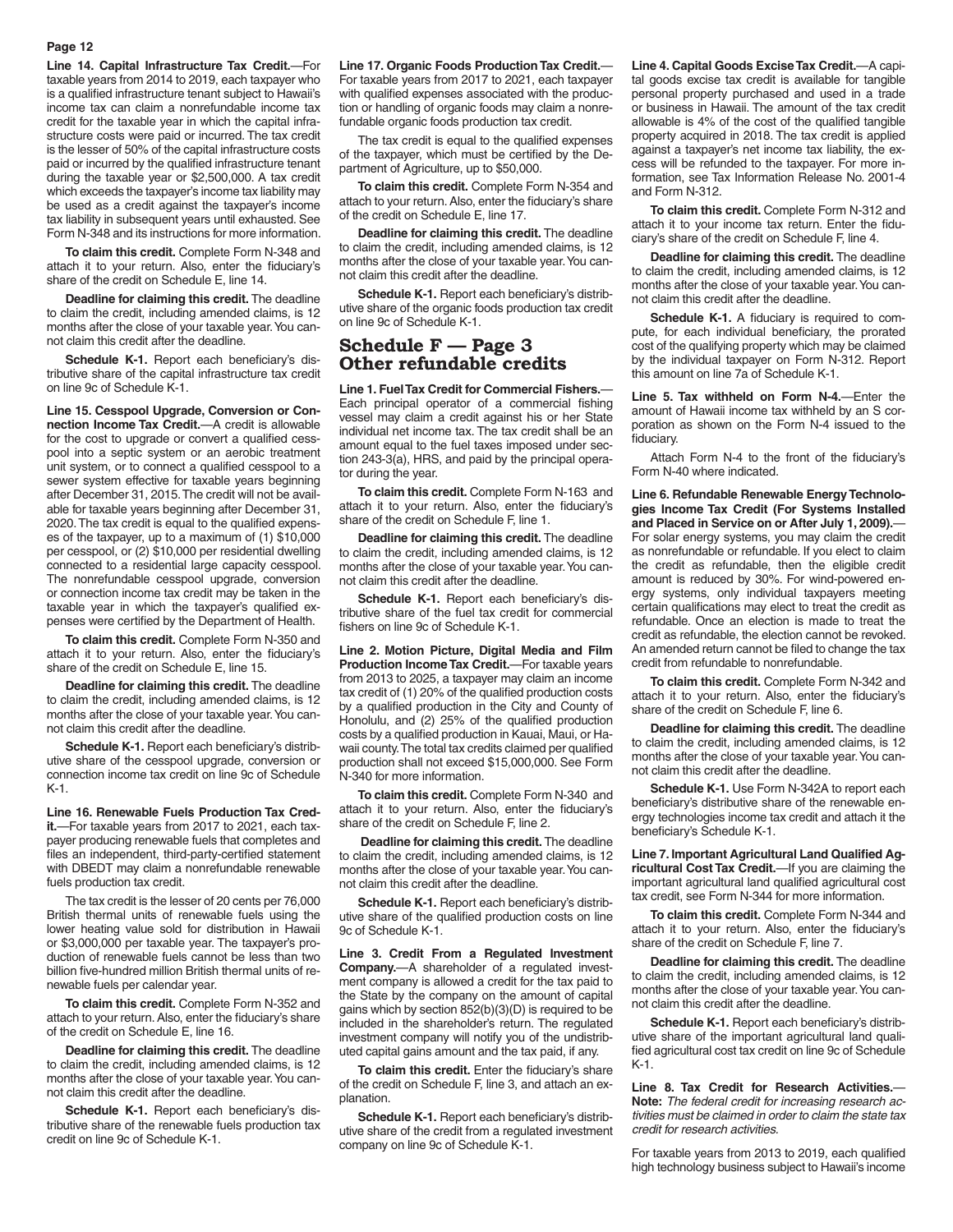**Line 14. Capital Infrastructure Tax Credit.**—For taxable years from 2014 to 2019, each taxpayer who is a qualified infrastructure tenant subject to Hawaii's income tax can claim a nonrefundable income tax credit for the taxable year in which the capital infrastructure costs were paid or incurred. The tax credit is the lesser of 50% of the capital infrastructure costs paid or incurred by the qualified infrastructure tenant during the taxable year or \$2,500,000. A tax credit which exceeds the taxpayer's income tax liability may be used as a credit against the taxpayer's income tax liability in subsequent years until exhausted. See Form N-348 and its instructions for more information.

**To claim this credit.** Complete Form N-348 and attach it to your return. Also, enter the fiduciary's share of the credit on Schedule E, line 14.

**Deadline for claiming this credit.** The deadline to claim the credit, including amended claims, is 12 months after the close of your taxable year. You cannot claim this credit after the deadline.

**Schedule K-1.** Report each beneficiary's distributive share of the capital infrastructure tax credit on line 9c of Schedule K-1.

**Line 15. Cesspool Upgrade, Conversion or Connection Income Tax Credit.**—A credit is allowable for the cost to upgrade or convert a qualified cesspool into a septic system or an aerobic treatment unit system, or to connect a qualified cesspool to a sewer system effective for taxable years beginning after December 31, 2015. The credit will not be available for taxable years beginning after December 31, 2020. The tax credit is equal to the qualified expenses of the taxpayer, up to a maximum of (1) \$10,000 per cesspool, or (2) \$10,000 per residential dwelling connected to a residential large capacity cesspool. The nonrefundable cesspool upgrade, conversion or connection income tax credit may be taken in the taxable year in which the taxpayer's qualified expenses were certified by the Department of Health.

**To claim this credit.** Complete Form N-350 and attach it to your return. Also, enter the fiduciary's share of the credit on Schedule E, line 15.

**Deadline for claiming this credit.** The deadline to claim the credit, including amended claims, is 12 months after the close of your taxable year. You cannot claim this credit after the deadline.

**Schedule K-1.** Report each beneficiary's distributive share of the cesspool upgrade, conversion or connection income tax credit on line 9c of Schedule K-1.

**Line 16. Renewable Fuels Production Tax Credit.**—For taxable years from 2017 to 2021, each taxpayer producing renewable fuels that completes and files an independent, third-party-certified statement with DBEDT may claim a nonrefundable renewable fuels production tax credit.

The tax credit is the lesser of 20 cents per 76,000 British thermal units of renewable fuels using the lower heating value sold for distribution in Hawaii or \$3,000,000 per taxable year. The taxpayer's production of renewable fuels cannot be less than two billion five-hundred million British thermal units of renewable fuels per calendar year.

**To claim this credit.** Complete Form N-352 and attach to your return. Also, enter the fiduciary's share of the credit on Schedule E, line 16.

**Deadline for claiming this credit.** The deadline to claim the credit, including amended claims, is 12 months after the close of your taxable year. You cannot claim this credit after the deadline.

**Schedule K-1.** Report each beneficiary's distributive share of the renewable fuels production tax credit on line 9c of Schedule K-1.

**Line 17. Organic Foods Production Tax Credit.**— For taxable years from 2017 to 2021, each taxpayer with qualified expenses associated with the production or handling of organic foods may claim a nonrefundable organic foods production tax credit.

The tax credit is equal to the qualified expenses of the taxpayer, which must be certified by the Department of Agriculture, up to \$50,000.

**To claim this credit.** Complete Form N-354 and attach to your return. Also, enter the fiduciary's share of the credit on Schedule E, line 17.

**Deadline for claiming this credit.** The deadline to claim the credit, including amended claims, is 12 months after the close of your taxable year. You cannot claim this credit after the deadline.

**Schedule K-1.** Report each beneficiary's distributive share of the organic foods production tax credit on line 9c of Schedule K-1.

## **Schedule F — Page 3 Other refundable credits**

**Line 1. Fuel Tax Credit for Commercial Fishers.**— Each principal operator of a commercial fishing vessel may claim a credit against his or her State individual net income tax. The tax credit shall be an amount equal to the fuel taxes imposed under section 243-3(a), HRS, and paid by the principal operator during the year.

**To claim this credit.** Complete Form N-163 and attach it to your return. Also, enter the fiduciary's share of the credit on Schedule F, line 1.

**Deadline for claiming this credit.** The deadline to claim the credit, including amended claims, is 12 months after the close of your taxable year. You cannot claim this credit after the deadline.

**Schedule K-1.** Report each beneficiary's distributive share of the fuel tax credit for commercial fishers on line 9c of Schedule K-1.

**Line 2. Motion Picture, Digital Media and Film Production Income Tax Credit.**—For taxable years from 2013 to 2025, a taxpayer may claim an income tax credit of (1) 20% of the qualified production costs by a qualified production in the City and County of Honolulu, and (2) 25% of the qualified production costs by a qualified production in Kauai, Maui, or Hawaii county. The total tax credits claimed per qualified production shall not exceed \$15,000,000. See Form N-340 for more information.

**To claim this credit.** Complete Form N-340 and attach it to your return. Also, enter the fiduciary's share of the credit on Schedule F, line 2.

**Deadline for claiming this credit.** The deadline to claim the credit, including amended claims, is 12 months after the close of your taxable year. You cannot claim this credit after the deadline.

**Schedule K-1.** Report each beneficiary's distributive share of the qualified production costs on line 9c of Schedule K-1.

**Line 3. Credit From a Regulated Investment Company.**—A shareholder of a regulated investment company is allowed a credit for the tax paid to the State by the company on the amount of capital gains which by section 852(b)(3)(D) is required to be included in the shareholder's return. The regulated investment company will notify you of the undistributed capital gains amount and the tax paid, if any.

**To claim this credit.** Enter the fiduciary's share of the credit on Schedule F, line 3, and attach an explanation.

**Schedule K-1.** Report each beneficiary's distributive share of the credit from a regulated investment company on line 9c of Schedule K-1.

**Line 4. Capital Goods Excise Tax Credit.**—A capital goods excise tax credit is available for tangible personal property purchased and used in a trade or business in Hawaii. The amount of the tax credit allowable is 4% of the cost of the qualified tangible property acquired in 2018. The tax credit is applied against a taxpayer's net income tax liability, the excess will be refunded to the taxpayer. For more information, see Tax Information Release No. 2001-4 and Form N-312.

**To claim this credit.** Complete Form N-312 and attach it to your income tax return. Enter the fiduciary's share of the credit on Schedule F, line 4.

**Deadline for claiming this credit.** The deadline to claim the credit, including amended claims, is 12 months after the close of your taxable year. You cannot claim this credit after the deadline.

**Schedule K-1.** A fiduciary is required to compute, for each individual beneficiary, the prorated cost of the qualifying property which may be claimed by the individual taxpayer on Form N-312. Report this amount on line 7a of Schedule K-1.

**Line 5. Tax withheld on Form N-4.**—Enter the amount of Hawaii income tax withheld by an S corporation as shown on the Form N-4 issued to the fiduciary.

Attach Form N-4 to the front of the fiduciary's Form N-40 where indicated.

**Line 6. Refundable Renewable Energy Technologies Income Tax Credit (For Systems Installed and Placed in Service on or After July 1, 2009).**— For solar energy systems, you may claim the credit as nonrefundable or refundable. If you elect to claim the credit as refundable, then the eligible credit amount is reduced by 30%. For wind-powered energy systems, only individual taxpayers meeting certain qualifications may elect to treat the credit as refundable. Once an election is made to treat the credit as refundable, the election cannot be revoked. An amended return cannot be filed to change the tax credit from refundable to nonrefundable.

**To claim this credit.** Complete Form N-342 and attach it to your return. Also, enter the fiduciary's share of the credit on Schedule F, line 6.

**Deadline for claiming this credit.** The deadline to claim the credit, including amended claims, is 12 months after the close of your taxable year. You cannot claim this credit after the deadline.

**Schedule K-1.** Use Form N-342A to report each beneficiary's distributive share of the renewable energy technologies income tax credit and attach it the beneficiary's Schedule K-1.

**Line 7. Important Agricultural Land Qualified Agricultural Cost Tax Credit.**—If you are claiming the important agricultural land qualified agricultural cost tax credit, see Form N-344 for more information.

**To claim this credit.** Complete Form N-344 and attach it to your return. Also, enter the fiduciary's share of the credit on Schedule F, line 7.

**Deadline for claiming this credit.** The deadline to claim the credit, including amended claims, is 12 months after the close of your taxable year. You cannot claim this credit after the deadline.

**Schedule K-1.** Report each beneficiary's distributive share of the important agricultural land qualified agricultural cost tax credit on line 9c of Schedule K-1.

**Line 8. Tax Credit for Research Activities.**— **Note:** *The federal credit for increasing research activities must be claimed in order to claim the state tax credit for research activities.*

For taxable years from 2013 to 2019, each qualified high technology business subject to Hawaii's income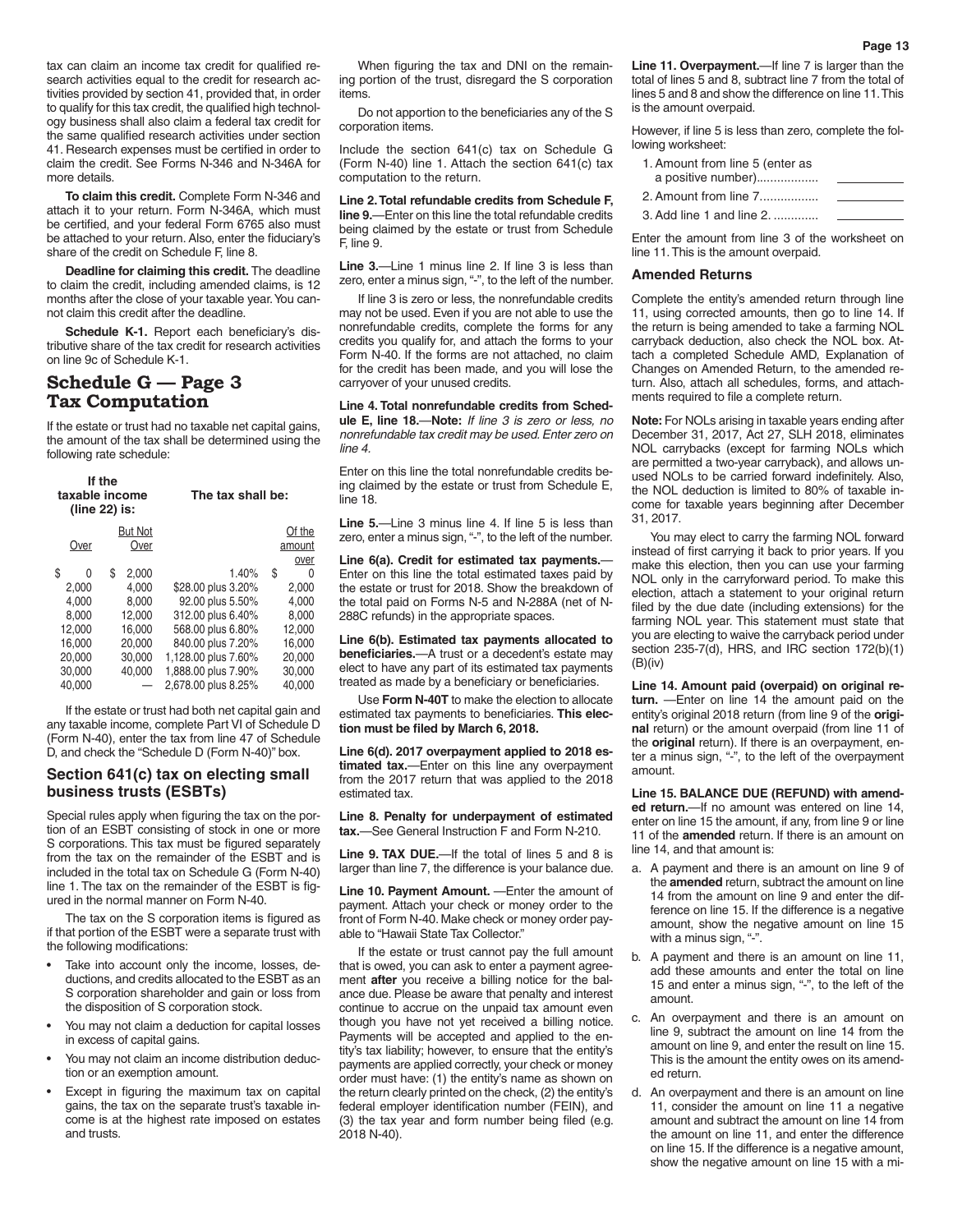tax can claim an income tax credit for qualified research activities equal to the credit for research activities provided by section 41, provided that, in order to qualify for this tax credit, the qualified high technology business shall also claim a federal tax credit for the same qualified research activities under section 41. Research expenses must be certified in order to claim the credit. See Forms N-346 and N-346A for more details.

**To claim this credit.** Complete Form N-346 and attach it to your return. Form N-346A, which must be certified, and your federal Form 6765 also must be attached to your return. Also, enter the fiduciary's share of the credit on Schedule F, line 8.

**Deadline for claiming this credit.** The deadline to claim the credit, including amended claims, is 12 months after the close of your taxable year. You cannot claim this credit after the deadline.

**Schedule K-1.** Report each beneficiary's distributive share of the tax credit for research activities on line 9c of Schedule K-1.

## **Schedule G — Page 3 Tax Computation**

If the estate or trust had no taxable net capital gains, the amount of the tax shall be determined using the following rate schedule:

| If the<br>taxable income<br>(line 22) is: |    |                | The tax shall be:   |    |        |
|-------------------------------------------|----|----------------|---------------------|----|--------|
|                                           |    | <b>But Not</b> |                     |    | Of the |
| Over                                      |    | Over           |                     |    | amount |
|                                           |    |                |                     |    | over   |
| \$<br>0                                   | \$ | 2.000          | 1.40%               | \$ | 0      |
| 2.000                                     |    | 4.000          | \$28.00 plus 3.20%  |    | 2.000  |
| 4.000                                     |    | 8.000          | 92.00 plus 5.50%    |    | 4.000  |
| 8.000                                     |    | 12.000         | 312.00 plus 6.40%   |    | 8.000  |
| 12.000                                    |    | 16.000         | 568.00 plus 6.80%   |    | 12.000 |
| 16.000                                    |    | 20.000         | 840.00 plus 7.20%   |    | 16.000 |
| 20,000                                    |    | 30,000         | 1,128.00 plus 7.60% |    | 20,000 |
| 30,000                                    |    | 40.000         | 1,888.00 plus 7.90% |    | 30,000 |
| 40.000                                    |    |                | 2,678.00 plus 8.25% |    | 40,000 |

If the estate or trust had both net capital gain and any taxable income, complete Part VI of Schedule D (Form N-40), enter the tax from line 47 of Schedule D, and check the "Schedule D (Form N-40)" box.

#### **Section 641(c) tax on electing small business trusts (ESBTs)**

Special rules apply when figuring the tax on the portion of an ESBT consisting of stock in one or more S corporations. This tax must be figured separately from the tax on the remainder of the ESBT and is included in the total tax on Schedule G (Form N-40) line 1. The tax on the remainder of the ESBT is figured in the normal manner on Form N-40.

The tax on the S corporation items is figured as if that portion of the ESBT were a separate trust with the following modifications:

- Take into account only the income, losses, deductions, and credits allocated to the ESBT as an S corporation shareholder and gain or loss from the disposition of S corporation stock.
- You may not claim a deduction for capital losses in excess of capital gains.
- You may not claim an income distribution deduction or an exemption amount.
- Except in figuring the maximum tax on capital gains, the tax on the separate trust's taxable income is at the highest rate imposed on estates and trusts.

When figuring the tax and DNI on the remaining portion of the trust, disregard the S corporation items.

Do not apportion to the beneficiaries any of the S corporation items.

Include the section 641(c) tax on Schedule G (Form N-40) line 1. Attach the section 641(c) tax computation to the return.

**Line 2. Total refundable credits from Schedule F, line 9.**—Enter on this line the total refundable credits being claimed by the estate or trust from Schedule F, line 9.

**Line 3.**—Line 1 minus line 2. If line 3 is less than zero, enter a minus sign, "-", to the left of the number.

If line 3 is zero or less, the nonrefundable credits may not be used. Even if you are not able to use the nonrefundable credits, complete the forms for any credits you qualify for, and attach the forms to your Form N-40. If the forms are not attached, no claim for the credit has been made, and you will lose the carryover of your unused credits.

**Line 4. Total nonrefundable credits from Schedule E, line 18.**—**Note:** *If line 3 is zero or less, no nonrefundable tax credit may be used. Enter zero on line 4.*

Enter on this line the total nonrefundable credits being claimed by the estate or trust from Schedule E, line 18.

Line 5.—Line 3 minus line 4. If line 5 is less than zero, enter a minus sign, "-", to the left of the number.

**Line 6(a). Credit for estimated tax payments.**— Enter on this line the total estimated taxes paid by the estate or trust for 2018. Show the breakdown of the total paid on Forms N-5 and N-288A (net of N-288C refunds) in the appropriate spaces.

**Line 6(b). Estimated tax payments allocated to beneficiaries.**—A trust or a decedent's estate may elect to have any part of its estimated tax payments treated as made by a beneficiary or beneficiaries.

Use **Form N-40T** to make the election to allocate estimated tax payments to beneficiaries. **This election must be filed by March 6, 2018.**

**Line 6(d). 2017 overpayment applied to 2018 estimated tax.**—Enter on this line any overpayment from the 2017 return that was applied to the 2018 estimated tax.

**Line 8. Penalty for underpayment of estimated tax.**—See General Instruction F and Form N-210.

**Line 9. TAX DUE.**—If the total of lines 5 and 8 is larger than line 7, the difference is your balance due.

Line 10. Payment Amount. - Enter the amount of payment. Attach your check or money order to the front of Form N-40. Make check or money order payable to "Hawaii State Tax Collector."

If the estate or trust cannot pay the full amount that is owed, you can ask to enter a payment agreement **after** you receive a billing notice for the balance due. Please be aware that penalty and interest continue to accrue on the unpaid tax amount even though you have not yet received a billing notice. Payments will be accepted and applied to the entity's tax liability; however, to ensure that the entity's payments are applied correctly, your check or money order must have: (1) the entity's name as shown on the return clearly printed on the check, (2) the entity's federal employer identification number (FEIN), and (3) the tax year and form number being filed (e.g. 2018 N-40).

**Line 11. Overpayment.**—If line 7 is larger than the total of lines 5 and 8, subtract line 7 from the total of lines 5 and 8 and show the difference on line 11. This is the amount overpaid.

However, if line 5 is less than zero, complete the following worksheet:

| 1. Amount from line 5 (enter as |  |
|---------------------------------|--|
| a positive number)              |  |
| 2. Amount from line 7           |  |
| 3. Add line 1 and line 2.       |  |

Enter the amount from line 3 of the worksheet on line 11. This is the amount overpaid.

#### **Amended Returns**

Complete the entity's amended return through line 11, using corrected amounts, then go to line 14. If the return is being amended to take a farming NOL carryback deduction, also check the NOL box. Attach a completed Schedule AMD, Explanation of Changes on Amended Return, to the amended return. Also, attach all schedules, forms, and attachments required to file a complete return.

**Note:** For NOLs arising in taxable years ending after December 31, 2017, Act 27, SLH 2018, eliminates NOL carrybacks (except for farming NOLs which are permitted a two-year carryback), and allows unused NOLs to be carried forward indefinitely. Also, the NOL deduction is limited to 80% of taxable income for taxable years beginning after December 31, 2017.

You may elect to carry the farming NOL forward instead of first carrying it back to prior years. If you make this election, then you can use your farming NOL only in the carryforward period. To make this election, attach a statement to your original return filed by the due date (including extensions) for the farming NOL year. This statement must state that you are electing to waive the carryback period under section  $235-7(d)$ , HRS, and IRC section  $172(b)(1)$  $(B)(iv)$ 

**Line 14. Amount paid (overpaid) on original return.** —Enter on line 14 the amount paid on the entity's original 2018 return (from line 9 of the **original** return) or the amount overpaid (from line 11 of the **original** return). If there is an overpayment, enter a minus sign, "-", to the left of the overpayment amount.

**Line 15. BALANCE DUE (REFUND) with amended return.**—If no amount was entered on line 14, enter on line 15 the amount, if any, from line 9 or line 11 of the **amended** return. If there is an amount on line 14, and that amount is:

- a. A payment and there is an amount on line 9 of the **amended** return, subtract the amount on line 14 from the amount on line 9 and enter the difference on line 15. If the difference is a negative amount, show the negative amount on line 15 with a minus sign, "-".
- b. A payment and there is an amount on line 11, add these amounts and enter the total on line 15 and enter a minus sign, "-", to the left of the amount.
- c. An overpayment and there is an amount on line 9, subtract the amount on line 14 from the amount on line 9, and enter the result on line 15. This is the amount the entity owes on its amended return.
- d. An overpayment and there is an amount on line 11, consider the amount on line 11 a negative amount and subtract the amount on line 14 from the amount on line 11, and enter the difference on line 15. If the difference is a negative amount, show the negative amount on line 15 with a mi-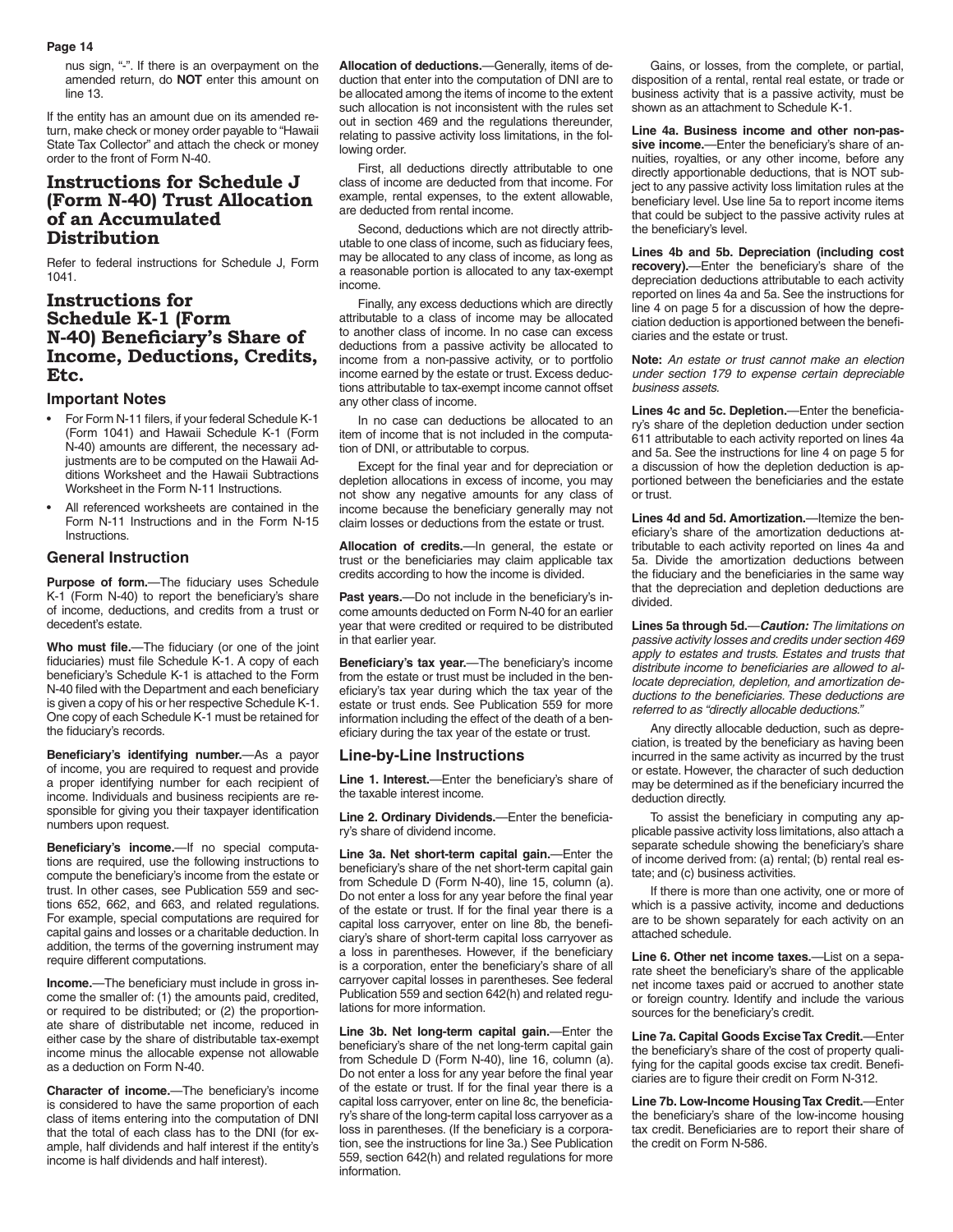nus sign, "-". If there is an overpayment on the amended return, do **NOT** enter this amount on line 13.

If the entity has an amount due on its amended return, make check or money order payable to "Hawaii State Tax Collector" and attach the check or money order to the front of Form N-40.

## **Instructions for Schedule J (Form N-40) Trust Allocation of an Accumulated Distribution**

Refer to federal instructions for Schedule J, Form 1041.

## **Instructions for Schedule K-1 (Form N-40) Beneficiary's Share of Income, Deductions, Credits, Etc.**

#### **Important Notes**

- For Form N-11 filers, if your federal Schedule K-1 (Form 1041) and Hawaii Schedule K-1 (Form N-40) amounts are different, the necessary adjustments are to be computed on the Hawaii Additions Worksheet and the Hawaii Subtractions Worksheet in the Form N-11 Instructions.
- All referenced worksheets are contained in the Form N-11 Instructions and in the Form N-15 Instructions.

#### **General Instruction**

**Purpose of form.**—The fiduciary uses Schedule K-1 (Form N-40) to report the beneficiary's share of income, deductions, and credits from a trust or decedent's estate.

**Who must file.**—The fiduciary (or one of the joint fiduciaries) must file Schedule K-1. A copy of each beneficiary's Schedule K-1 is attached to the Form N-40 filed with the Department and each beneficiary is given a copy of his or her respective Schedule K-1. One copy of each Schedule K-1 must be retained for the fiduciary's records.

**Beneficiary's identifying number.**—As a payor of income, you are required to request and provide a proper identifying number for each recipient of income. Individuals and business recipients are responsible for giving you their taxpayer identification numbers upon request.

**Beneficiary's income.**—If no special computations are required, use the following instructions to compute the beneficiary's income from the estate or trust. In other cases, see Publication 559 and sections 652, 662, and 663, and related regulations. For example, special computations are required for capital gains and losses or a charitable deduction. In addition, the terms of the governing instrument may require different computations.

**Income.**—The beneficiary must include in gross income the smaller of: (1) the amounts paid, credited, or required to be distributed; or (2) the proportionate share of distributable net income, reduced in either case by the share of distributable tax-exempt income minus the allocable expense not allowable as a deduction on Form N-40.

**Character of income.**—The beneficiary's income is considered to have the same proportion of each class of items entering into the computation of DNI that the total of each class has to the DNI (for example, half dividends and half interest if the entity's income is half dividends and half interest).

**Allocation of deductions.**—Generally, items of deduction that enter into the computation of DNI are to be allocated among the items of income to the extent such allocation is not inconsistent with the rules set out in section 469 and the regulations thereunder, relating to passive activity loss limitations, in the following order.

First, all deductions directly attributable to one class of income are deducted from that income. For example, rental expenses, to the extent allowable, are deducted from rental income.

Second, deductions which are not directly attributable to one class of income, such as fiduciary fees, may be allocated to any class of income, as long as a reasonable portion is allocated to any tax-exempt income.

Finally, any excess deductions which are directly attributable to a class of income may be allocated to another class of income. In no case can excess deductions from a passive activity be allocated to income from a non-passive activity, or to portfolio income earned by the estate or trust. Excess deductions attributable to tax-exempt income cannot offset any other class of income.

In no case can deductions be allocated to an item of income that is not included in the computation of DNI, or attributable to corpus.

Except for the final year and for depreciation or depletion allocations in excess of income, you may not show any negative amounts for any class of income because the beneficiary generally may not claim losses or deductions from the estate or trust.

**Allocation of credits.**—In general, the estate or trust or the beneficiaries may claim applicable tax credits according to how the income is divided.

**Past years.**—Do not include in the beneficiary's income amounts deducted on Form N-40 for an earlier year that were credited or required to be distributed in that earlier year.

**Beneficiary's tax year.**—The beneficiary's income from the estate or trust must be included in the beneficiary's tax year during which the tax year of the estate or trust ends. See Publication 559 for more information including the effect of the death of a beneficiary during the tax year of the estate or trust.

#### **Line-by-Line Instructions**

**Line 1. Interest.**—Enter the beneficiary's share of the taxable interest income.

**Line 2. Ordinary Dividends.**—Enter the beneficiary's share of dividend income.

**Line 3a. Net short-term capital gain.**—Enter the beneficiary's share of the net short-term capital gain from Schedule D (Form N-40), line 15, column (a). Do not enter a loss for any year before the final year of the estate or trust. If for the final year there is a capital loss carryover, enter on line 8b, the beneficiary's share of short-term capital loss carryover as a loss in parentheses. However, if the beneficiary is a corporation, enter the beneficiary's share of all carryover capital losses in parentheses. See federal Publication 559 and section 642(h) and related regulations for more information.

**Line 3b. Net long-term capital gain.**—Enter the beneficiary's share of the net long-term capital gain from Schedule D (Form N-40), line 16, column (a). Do not enter a loss for any year before the final year of the estate or trust. If for the final year there is a capital loss carryover, enter on line 8c, the beneficiary's share of the long-term capital loss carryover as a loss in parentheses. (If the beneficiary is a corporation, see the instructions for line 3a.) See Publication 559, section 642(h) and related regulations for more information.

Gains, or losses, from the complete, or partial, disposition of a rental, rental real estate, or trade or business activity that is a passive activity, must be shown as an attachment to Schedule K-1.

**Line 4a. Business income and other non-passive income.**—Enter the beneficiary's share of annuities, royalties, or any other income, before any directly apportionable deductions, that is NOT subject to any passive activity loss limitation rules at the beneficiary level. Use line 5a to report income items that could be subject to the passive activity rules at the beneficiary's level.

**Lines 4b and 5b. Depreciation (including cost recovery).**—Enter the beneficiary's share of the depreciation deductions attributable to each activity reported on lines 4a and 5a. See the instructions for line 4 on page 5 for a discussion of how the depreciation deduction is apportioned between the beneficiaries and the estate or trust.

**Note:** *An estate or trust cannot make an election under section 179 to expense certain depreciable business assets.*

**Lines 4c and 5c. Depletion.**—Enter the beneficiary's share of the depletion deduction under section 611 attributable to each activity reported on lines 4a and 5a. See the instructions for line 4 on page 5 for a discussion of how the depletion deduction is apportioned between the beneficiaries and the estate or trust.

**Lines 4d and 5d. Amortization.**—Itemize the beneficiary's share of the amortization deductions attributable to each activity reported on lines 4a and 5a. Divide the amortization deductions between the fiduciary and the beneficiaries in the same way that the depreciation and depletion deductions are divided.

**Lines 5a through 5d.**—*Caution: The limitations on passive activity losses and credits under section 469 apply to estates and trusts. Estates and trusts that distribute income to beneficiaries are allowed to allocate depreciation, depletion, and amortization deductions to the beneficiaries. These deductions are referred to as "directly allocable deductions."*

Any directly allocable deduction, such as depreciation, is treated by the beneficiary as having been incurred in the same activity as incurred by the trust or estate. However, the character of such deduction may be determined as if the beneficiary incurred the deduction directly.

To assist the beneficiary in computing any applicable passive activity loss limitations, also attach a separate schedule showing the beneficiary's share of income derived from: (a) rental; (b) rental real estate; and (c) business activities.

If there is more than one activity, one or more of which is a passive activity, income and deductions are to be shown separately for each activity on an attached schedule.

**Line 6. Other net income taxes.**—List on a separate sheet the beneficiary's share of the applicable net income taxes paid or accrued to another state or foreign country. Identify and include the various sources for the beneficiary's credit.

**Line 7a. Capital Goods Excise Tax Credit.**—Enter the beneficiary's share of the cost of property qualifying for the capital goods excise tax credit. Beneficiaries are to figure their credit on Form N-312.

**Line 7b. Low-Income Housing Tax Credit.**—Enter the beneficiary's share of the low-income housing tax credit. Beneficiaries are to report their share of the credit on Form N-586.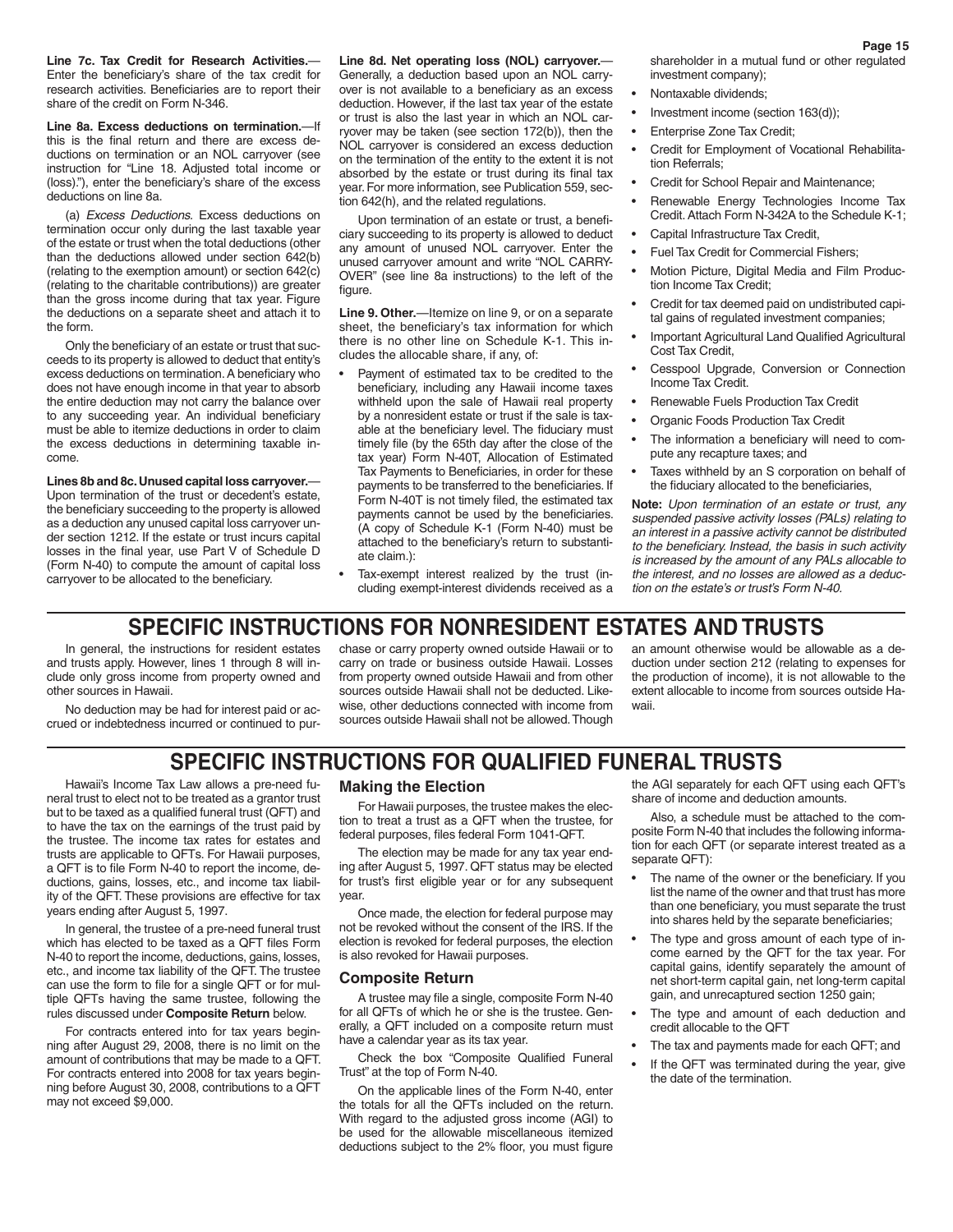**Line 7c. Tax Credit for Research Activities.**— Enter the beneficiary's share of the tax credit for research activities. Beneficiaries are to report their share of the credit on Form N-346.

**Line 8a. Excess deductions on termination.**—If this is the final return and there are excess deductions on termination or an NOL carryover (see instruction for "Line 18. Adjusted total income or (loss)."), enter the beneficiary's share of the excess deductions on line 8a.

(a) *Excess Deductions.* Excess deductions on termination occur only during the last taxable year of the estate or trust when the total deductions (other than the deductions allowed under section 642(b) (relating to the exemption amount) or section 642(c) (relating to the charitable contributions)) are greater than the gross income during that tax year. Figure the deductions on a separate sheet and attach it to the form.

Only the beneficiary of an estate or trust that succeeds to its property is allowed to deduct that entity's excess deductions on termination. A beneficiary who does not have enough income in that year to absorb the entire deduction may not carry the balance over to any succeeding year. An individual beneficiary must be able to itemize deductions in order to claim the excess deductions in determining taxable income.

**Lines 8b and 8c. Unused capital loss carryover.**— Upon termination of the trust or decedent's estate, the beneficiary succeeding to the property is allowed as a deduction any unused capital loss carryover under section 1212. If the estate or trust incurs capital losses in the final year, use Part V of Schedule D (Form N-40) to compute the amount of capital loss carryover to be allocated to the beneficiary.

**Line 8d. Net operating loss (NOL) carryover.**— Generally, a deduction based upon an NOL carryover is not available to a beneficiary as an excess deduction. However, if the last tax year of the estate or trust is also the last year in which an NOL carryover may be taken (see section 172(b)), then the NOL carryover is considered an excess deduction on the termination of the entity to the extent it is not absorbed by the estate or trust during its final tax year. For more information, see Publication 559, section 642(h), and the related regulations.

Upon termination of an estate or trust, a beneficiary succeeding to its property is allowed to deduct any amount of unused NOL carryover. Enter the unused carryover amount and write "NOL CARRY-OVER" (see line 8a instructions) to the left of the figure.

**Line 9. Other.**—Itemize on line 9, or on a separate sheet, the beneficiary's tax information for which there is no other line on Schedule K-1. This includes the allocable share, if any, of:

- Payment of estimated tax to be credited to the beneficiary, including any Hawaii income taxes withheld upon the sale of Hawaii real property by a nonresident estate or trust if the sale is taxable at the beneficiary level. The fiduciary must timely file (by the 65th day after the close of the tax year) Form N-40T, Allocation of Estimated Tax Payments to Beneficiaries, in order for these payments to be transferred to the beneficiaries. If Form N-40T is not timely filed, the estimated tax payments cannot be used by the beneficiaries. (A copy of Schedule K-1 (Form N-40) must be attached to the beneficiary's return to substantiate claim.):
- Tax-exempt interest realized by the trust (including exempt-interest dividends received as a

shareholder in a mutual fund or other regulated investment company);

- Nontaxable dividends;
- Investment income (section 163(d));
- Enterprise Zone Tax Credit;
- Credit for Employment of Vocational Rehabilitation Referrals;
- Credit for School Repair and Maintenance;
- Renewable Energy Technologies Income Tax Credit. Attach Form N-342A to the Schedule K-1;
- Capital Infrastructure Tax Credit,
- Fuel Tax Credit for Commercial Fishers;
- Motion Picture, Digital Media and Film Production Income Tax Credit;
- Credit for tax deemed paid on undistributed capital gains of regulated investment companies;
- Important Agricultural Land Qualified Agricultural Cost Tax Credit,
- Cesspool Upgrade, Conversion or Connection Income Tax Credit.
- Renewable Fuels Production Tax Credit
- Organic Foods Production Tax Credit
- The information a beneficiary will need to compute any recapture taxes; and
- Taxes withheld by an S corporation on behalf of the fiduciary allocated to the beneficiaries,

**Note:** *Upon termination of an estate or trust, any suspended passive activity losses (PALs) relating to an interest in a passive activity cannot be distributed to the beneficiary. Instead, the basis in such activity is increased by the amount of any PALs allocable to the interest, and no losses are allowed as a deduction on the estate's or trust's Form N-40.*

## **SPECIFIC INSTRUCTIONS FOR NONRESIDENT ESTATES AND TRUSTS**

In general, the instructions for resident estates and trusts apply. However, lines 1 through 8 will include only gross income from property owned and other sources in Hawaii.

No deduction may be had for interest paid or accrued or indebtedness incurred or continued to purchase or carry property owned outside Hawaii or to carry on trade or business outside Hawaii. Losses from property owned outside Hawaii and from other sources outside Hawaii shall not be deducted. Likewise, other deductions connected with income from sources outside Hawaii shall not be allowed. Though

an amount otherwise would be allowable as a deduction under section 212 (relating to expenses for the production of income), it is not allowable to the extent allocable to income from sources outside Hawaii.

## **SPECIFIC INSTRUCTIONS FOR QUALIFIED FUNERAL TRUSTS**

Hawaii's Income Tax Law allows a pre-need funeral trust to elect not to be treated as a grantor trust but to be taxed as a qualified funeral trust (QFT) and to have the tax on the earnings of the trust paid by the trustee. The income tax rates for estates and trusts are applicable to QFTs. For Hawaii purposes, a QFT is to file Form N-40 to report the income, deductions, gains, losses, etc., and income tax liability of the QFT. These provisions are effective for tax years ending after August 5, 1997.

In general, the trustee of a pre-need funeral trust which has elected to be taxed as a QFT files Form N-40 to report the income, deductions, gains, losses, etc., and income tax liability of the QFT. The trustee can use the form to file for a single QFT or for multiple QFTs having the same trustee, following the rules discussed under **Composite Return** below.

For contracts entered into for tax years beginning after August 29, 2008, there is no limit on the amount of contributions that may be made to a QFT. For contracts entered into 2008 for tax years beginning before August 30, 2008, contributions to a QFT may not exceed \$9,000.

#### **Making the Election**

For Hawaii purposes, the trustee makes the election to treat a trust as a QFT when the trustee, for federal purposes, files federal Form 1041-QFT.

The election may be made for any tax year ending after August 5, 1997. QFT status may be elected for trust's first eligible year or for any subsequent year.

Once made, the election for federal purpose may not be revoked without the consent of the IRS. If the election is revoked for federal purposes, the election is also revoked for Hawaii purposes.

#### **Composite Return**

A trustee may file a single, composite Form N-40 for all QFTs of which he or she is the trustee. Generally, a QFT included on a composite return must have a calendar year as its tax year.

Check the box "Composite Qualified Funeral Trust" at the top of Form N-40.

On the applicable lines of the Form N-40, enter the totals for all the QFTs included on the return. With regard to the adjusted gross income (AGI) to be used for the allowable miscellaneous itemized deductions subject to the 2% floor, you must figure

the AGI separately for each QFT using each QFT's share of income and deduction amounts.

Also, a schedule must be attached to the composite Form N-40 that includes the following information for each QFT (or separate interest treated as a separate QFT):

- The name of the owner or the beneficiary. If you list the name of the owner and that trust has more than one beneficiary, you must separate the trust into shares held by the separate beneficiaries;
- The type and gross amount of each type of income earned by the QFT for the tax year. For capital gains, identify separately the amount of net short-term capital gain, net long-term capital gain, and unrecaptured section 1250 gain;
- The type and amount of each deduction and credit allocable to the QFT
- The tax and payments made for each QFT; and
- If the QFT was terminated during the year, give the date of the termination.